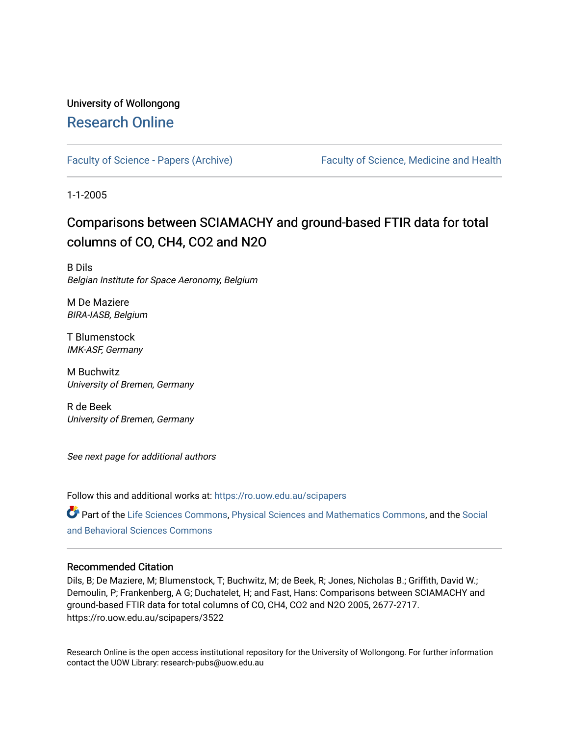# University of Wollongong [Research Online](https://ro.uow.edu.au/)

[Faculty of Science - Papers \(Archive\)](https://ro.uow.edu.au/scipapers) Faculty of Science, Medicine and Health

1-1-2005

# Comparisons between SCIAMACHY and ground-based FTIR data for total columns of CO, CH4, CO2 and N2O

B Dils Belgian Institute for Space Aeronomy, Belgium

M De Maziere BIRA-IASB, Belgium

T Blumenstock IMK-ASF, Germany

M Buchwitz University of Bremen, Germany

R de Beek University of Bremen, Germany

See next page for additional authors

Follow this and additional works at: [https://ro.uow.edu.au/scipapers](https://ro.uow.edu.au/scipapers?utm_source=ro.uow.edu.au%2Fscipapers%2F3522&utm_medium=PDF&utm_campaign=PDFCoverPages)

Part of the [Life Sciences Commons,](http://network.bepress.com/hgg/discipline/1016?utm_source=ro.uow.edu.au%2Fscipapers%2F3522&utm_medium=PDF&utm_campaign=PDFCoverPages) [Physical Sciences and Mathematics Commons,](http://network.bepress.com/hgg/discipline/114?utm_source=ro.uow.edu.au%2Fscipapers%2F3522&utm_medium=PDF&utm_campaign=PDFCoverPages) and the Social [and Behavioral Sciences Commons](http://network.bepress.com/hgg/discipline/316?utm_source=ro.uow.edu.au%2Fscipapers%2F3522&utm_medium=PDF&utm_campaign=PDFCoverPages) 

## Recommended Citation

Dils, B; De Maziere, M; Blumenstock, T; Buchwitz, M; de Beek, R; Jones, Nicholas B.; Griffith, David W.; Demoulin, P; Frankenberg, A G; Duchatelet, H; and Fast, Hans: Comparisons between SCIAMACHY and ground-based FTIR data for total columns of CO, CH4, CO2 and N2O 2005, 2677-2717. https://ro.uow.edu.au/scipapers/3522

Research Online is the open access institutional repository for the University of Wollongong. For further information contact the UOW Library: research-pubs@uow.edu.au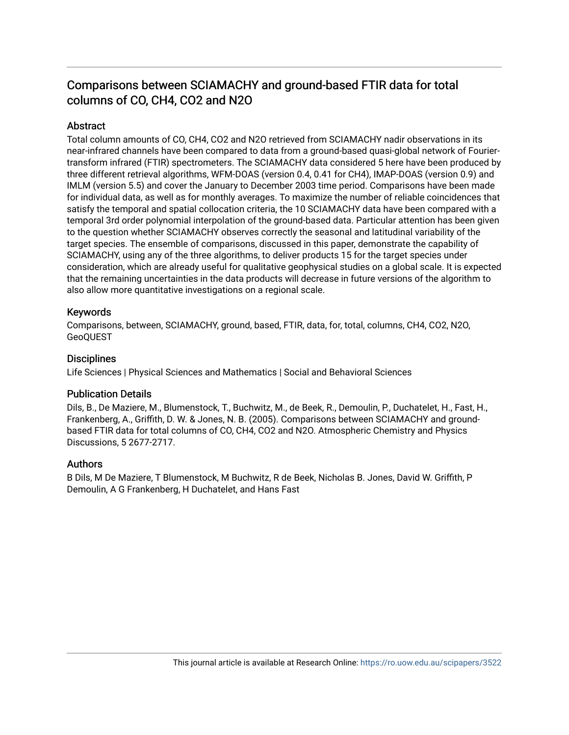# Comparisons between SCIAMACHY and ground-based FTIR data for total columns of CO, CH4, CO2 and N2O

# **Abstract**

Total column amounts of CO, CH4, CO2 and N2O retrieved from SCIAMACHY nadir observations in its near-infrared channels have been compared to data from a ground-based quasi-global network of Fouriertransform infrared (FTIR) spectrometers. The SCIAMACHY data considered 5 here have been produced by three different retrieval algorithms, WFM-DOAS (version 0.4, 0.41 for CH4), IMAP-DOAS (version 0.9) and IMLM (version 5.5) and cover the January to December 2003 time period. Comparisons have been made for individual data, as well as for monthly averages. To maximize the number of reliable coincidences that satisfy the temporal and spatial collocation criteria, the 10 SCIAMACHY data have been compared with a temporal 3rd order polynomial interpolation of the ground-based data. Particular attention has been given to the question whether SCIAMACHY observes correctly the seasonal and latitudinal variability of the target species. The ensemble of comparisons, discussed in this paper, demonstrate the capability of SCIAMACHY, using any of the three algorithms, to deliver products 15 for the target species under consideration, which are already useful for qualitative geophysical studies on a global scale. It is expected that the remaining uncertainties in the data products will decrease in future versions of the algorithm to also allow more quantitative investigations on a regional scale.

# Keywords

Comparisons, between, SCIAMACHY, ground, based, FTIR, data, for, total, columns, CH4, CO2, N2O, GeoQUEST

# **Disciplines**

Life Sciences | Physical Sciences and Mathematics | Social and Behavioral Sciences

## Publication Details

Dils, B., De Maziere, M., Blumenstock, T., Buchwitz, M., de Beek, R., Demoulin, P., Duchatelet, H., Fast, H., Frankenberg, A., Griffith, D. W. & Jones, N. B. (2005). Comparisons between SCIAMACHY and groundbased FTIR data for total columns of CO, CH4, CO2 and N2O. Atmospheric Chemistry and Physics Discussions, 5 2677-2717.

## Authors

B Dils, M De Maziere, T Blumenstock, M Buchwitz, R de Beek, Nicholas B. Jones, David W. Griffith, P Demoulin, A G Frankenberg, H Duchatelet, and Hans Fast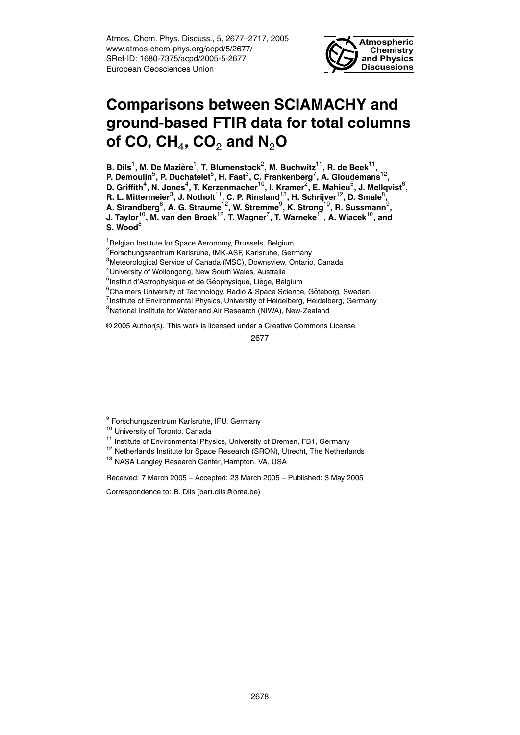Atmos. Chem. Phys. Discuss., 5, 2677–2717, 2005 www.atmos-chem-phys.org/acpd/5/2677/ SRef-ID: 1680-7375/acpd/2005-5-2677 European Geosciences Union



# **Comparisons between SCIAMACHY and ground-based FTIR data for total columns of CO, CH**<sup>4</sup> **, CO**<sup>2</sup> **and N**2**O**

B. Dils<sup>1</sup>, M. De Mazière<sup>1</sup>, T. Blumenstock $^2$ , M. Buchwitz<sup>11</sup>, R. de Beek<sup>11</sup>,

P. Demoulin<sup>5</sup>, P. Duchatelet<sup>5</sup>, H. Fast<sup>3</sup>, C. Frankenberg<sup>7</sup>, A. Gloudemans<sup>12</sup>,

D. Griffith<sup>4</sup>, N. Jones<sup>4</sup>, T. Kerzenmacher<sup>10</sup>, I. Kramer<sup>2</sup>, E. Mahieu<sup>5</sup>, J. Mellqvist<sup>6</sup>,

 $R$ . L. Mittermeier $^3$ , J. Notholt $^{11}$ , C. P. Rinsland $^{13}$ , H. Schrijver $^{12}$ , D. Smale $^8$ ,

**A. Strandberg**<sup>6</sup> **, A. G. Straume**12**, W. Stremme**<sup>9</sup> **, K. Strong**10**, R. Sussmann**<sup>9</sup> **,**

**J. Taylor**10**, M. van den Broek**12**, T. Wagner**<sup>7</sup> **, T. Warneke**11**, A. Wiacek**10**, and** S. Wood<sup>8</sup>

<sup>1</sup>Belgian Institute for Space Aeronomy, Brussels, Belgium

<sup>2</sup>Forschungszentrum Karlsruhe, IMK-ASF, Karlsruhe, Germany

<sup>3</sup>Meteorological Service of Canada (MSC), Downsview, Ontario, Canada

<sup>4</sup>University of Wollongong, New South Wales, Australia

<sup>5</sup>Institut d'Astrophysique et de Géophysique, Liège, Belgium

<sup>6</sup>Chalmers University of Technology, Radio & Space Science, Göteborg, Sweden

<sup>7</sup>Institute of Environmental Physics, University of Heidelberg, Heidelberg, Germany

<sup>8</sup>National Institute for Water and Air Research (NIWA), New-Zealand

© 2005 Author(s). This work is licensed under a Creative Commons License.

2677

<sup>9</sup> Forschungszentrum Karlsruhe, IFU, Germany

<sup>10</sup> University of Toronto, Canada

<sup>11</sup> Institute of Environmental Physics, University of Bremen, FB1, Germany

- <sup>12</sup> Netherlands Institute for Space Research (SRON), Utrecht, The Netherlands
- <sup>13</sup> NASA Langley Research Center, Hampton, VA, USA

Received: 7 March 2005 – Accepted: 23 March 2005 – Published: 3 May 2005

Correspondence to: B. Dils (bart.dils@oma.be)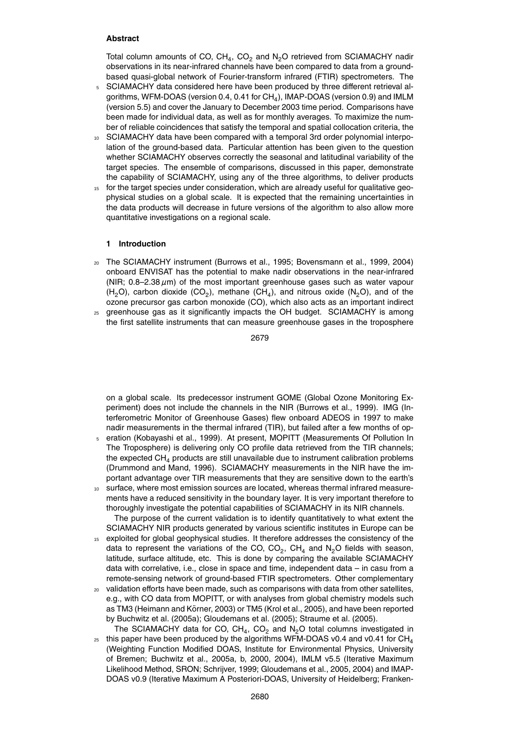#### **Abstract**

Total column amounts of CO,  $CH_4$ , CO<sub>2</sub> and N<sub>2</sub>O retrieved from SCIAMACHY nadir observations in its near-infrared channels have been compared to data from a groundbased quasi-global network of Fourier-transform infrared (FTIR) spectrometers. The

- <sup>5</sup> SCIAMACHY data considered here have been produced by three different retrieval algorithms, WFM-DOAS (version 0.4, 0.41 for  $\mathsf{CH}_4$ ), IMAP-DOAS (version 0.9) and IMLM (version 5.5) and cover the January to December 2003 time period. Comparisons have been made for individual data, as well as for monthly averages. To maximize the number of reliable coincidences that satisfy the temporal and spatial collocation criteria, the
- <sup>10</sup> SCIAMACHY data have been compared with a temporal 3rd order polynomial interpolation of the ground-based data. Particular attention has been given to the question whether SCIAMACHY observes correctly the seasonal and latitudinal variability of the target species. The ensemble of comparisons, discussed in this paper, demonstrate the capability of SCIAMACHY, using any of the three algorithms, to deliver products
- <sup>15</sup> for the target species under consideration, which are already useful for qualitative geophysical studies on a global scale. It is expected that the remaining uncertainties in the data products will decrease in future versions of the algorithm to also allow more quantitative investigations on a regional scale.

#### **1 Introduction**

- <sup>20</sup> The SCIAMACHY instrument (Burrows et al., 1995; Bovensmann et al., 1999, 2004) onboard ENVISAT has the potential to make nadir observations in the near-infrared (NIR; 0.8–2.38 *µ*m) of the most important greenhouse gases such as water vapour (H<sub>2</sub>O), carbon dioxide (CO<sub>2</sub>), methane (CH<sub>4</sub>), and nitrous oxide (N<sub>2</sub>O), and of the ozone precursor gas carbon monoxide (CO), which also acts as an important indirect
- <sup>25</sup> greenhouse gas as it significantly impacts the OH budget. SCIAMACHY is among the first satellite instruments that can measure greenhouse gases in the troposphere

2679

on a global scale. Its predecessor instrument GOME (Global Ozone Monitoring Experiment) does not include the channels in the NIR (Burrows et al., 1999). IMG (Interferometric Monitor of Greenhouse Gases) flew onboard ADEOS in 1997 to make nadir measurements in the thermal infrared (TIR), but failed after a few months of op-

- <sup>5</sup> eration (Kobayashi et al., 1999). At present, MOPITT (Measurements Of Pollution In The Troposphere) is delivering only CO profile data retrieved from the TIR channels; the expected  $CH<sub>4</sub>$  products are still unavailable due to instrument calibration problems (Drummond and Mand, 1996). SCIAMACHY measurements in the NIR have the important advantage over TIR measurements that they are sensitive down to the earth's
- <sup>10</sup> surface, where most emission sources are located, whereas thermal infrared measurements have a reduced sensitivity in the boundary layer. It is very important therefore to thoroughly investigate the potential capabilities of SCIAMACHY in its NIR channels. The purpose of the current validation is to identify quantitatively to what extent the
	- SCIAMACHY NIR products generated by various scientific institutes in Europe can be
- <sup>15</sup> exploited for global geophysical studies. It therefore addresses the consistency of the data to represent the variations of the CO, CO<sub>2</sub>, CH<sub>4</sub> and N<sub>2</sub>O fields with season, latitude, surface altitude, etc. This is done by comparing the available SCIAMACHY data with correlative, i.e., close in space and time, independent data – in casu from a remote-sensing network of ground-based FTIR spectrometers. Other complementary
- <sup>20</sup> validation efforts have been made, such as comparisons with data from other satellites, e.g., with CO data from MOPITT, or with analyses from global chemistry models such as TM3 (Heimann and Körner, 2003) or TM5 (Krol et al., 2005), and have been reported by Buchwitz et al. (2005a); Gloudemans et al. (2005); Straume et al. (2005).
- The SCIAMACHY data for CO, CH<sub>4</sub>, CO<sub>2</sub> and N<sub>2</sub>O total columns investigated in  $_{25}$  this paper have been produced by the algorithms WFM-DOAS v0.4 and v0.41 for CH<sub>4</sub> (Weighting Function Modified DOAS, Institute for Environmental Physics, University of Bremen; Buchwitz et al., 2005a, b, 2000, 2004), IMLM v5.5 (Iterative Maximum Likelihood Method, SRON; Schrijver, 1999; Gloudemans et al., 2005, 2004) and IMAP-DOAS v0.9 (Iterative Maximum A Posteriori-DOAS, University of Heidelberg; Franken-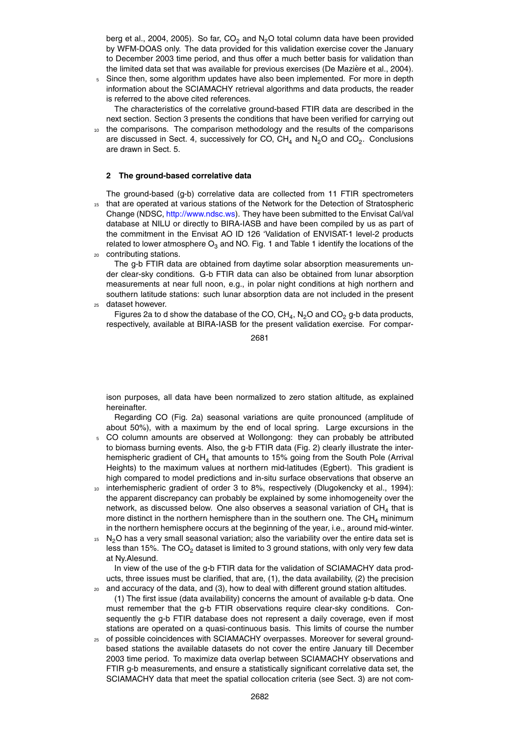berg et al., 2004, 2005). So far,  $CO<sub>2</sub>$  and N<sub>2</sub>O total column data have been provided by WFM-DOAS only. The data provided for this validation exercise cover the January to December 2003 time period, and thus offer a much better basis for validation than the limited data set that was available for previous exercises (De Mazière et al., 2004).

<sup>5</sup> Since then, some algorithm updates have also been implemented. For more in depth information about the SCIAMACHY retrieval algorithms and data products, the reader is referred to the above cited references.

The characteristics of the correlative ground-based FTIR data are described in the next section. Section 3 presents the conditions that have been verified for carrying out

the comparisons. The comparison methodology and the results of the comparisons are discussed in Sect. 4, successively for CO, CH<sub>4</sub> and N<sub>2</sub>O and CO<sub>2</sub>. Conclusions are drawn in Sect. 5.

#### **2 The ground-based correlative data**

The ground-based (g-b) correlative data are collected from 11 FTIR spectrometers 15 that are operated at various stations of the Network for the Detection of Stratospheric Change (NDSC, http://www.ndsc.ws). They have been submitted to the Envisat Cal/val database at NILU or directly to BIRA-IASB and have been compiled by us as part of the commitment in the Envisat AO ID 126 'Validation of ENVISAT-1 level-2 products related to lower atmosphere  $O_3$  and NO. Fig. 1 and Table 1 identify the locations of the <sup>20</sup> contributing stations.

- The g-b FTIR data are obtained from daytime solar absorption measurements under clear-sky conditions. G-b FTIR data can also be obtained from lunar absorption measurements at near full noon, e.g., in polar night conditions at high northern and southern latitude stations: such lunar absorption data are not included in the present
- <sup>25</sup> dataset however.

Figures 2a to d show the database of the CO, CH<sub>4</sub>, N<sub>2</sub>O and CO<sub>2</sub> g-b data products, respectively, available at BIRA-IASB for the present validation exercise. For compar-

2681

ison purposes, all data have been normalized to zero station altitude, as explained hereinafter.

Regarding CO (Fig. 2a) seasonal variations are quite pronounced (amplitude of about 50%), with a maximum by the end of local spring. Large excursions in the

- <sup>5</sup> CO column amounts are observed at Wollongong: they can probably be attributed to biomass burning events. Also, the g-b FTIR data (Fig. 2) clearly illustrate the interhemispheric gradient of CH<sub>4</sub> that amounts to 15% going from the South Pole (Arrival Heights) to the maximum values at northern mid-latitudes (Egbert). This gradient is high compared to model predictions and in-situ surface observations that observe an
- 10 interhemispheric gradient of order 3 to 8%, respectively (Dlugokencky et al., 1994): the apparent discrepancy can probably be explained by some inhomogeneity over the network, as discussed below. One also observes a seasonal variation of  $\textsf{CH}_4$  that is more distinct in the northern hemisphere than in the southern one. The  $CH<sub>4</sub>$  minimum in the northern hemisphere occurs at the beginning of the year, i.e., around mid-winter.
- $15$  N<sub>2</sub>O has a very small seasonal variation; also the variability over the entire data set is less than 15%. The  $CO<sub>2</sub>$  dataset is limited to 3 ground stations, with only very few data at Ny.Alesund.

In view of the use of the g-b FTIR data for the validation of SCIAMACHY data products, three issues must be clarified, that are, (1), the data availability, (2) the precision

- <sup>20</sup> and accuracy of the data, and (3), how to deal with different ground station altitudes. (1) The first issue (data availability) concerns the amount of available g-b data. One must remember that the g-b FTIR observations require clear-sky conditions. Consequently the g-b FTIR database does not represent a daily coverage, even if most stations are operated on a quasi-continuous basis. This limits of course the number
- <sup>25</sup> of possible coincidences with SCIAMACHY overpasses. Moreover for several groundbased stations the available datasets do not cover the entire January till December 2003 time period. To maximize data overlap between SCIAMACHY observations and FTIR g-b measurements, and ensure a statistically significant correlative data set, the SCIAMACHY data that meet the spatial collocation criteria (see Sect. 3) are not com-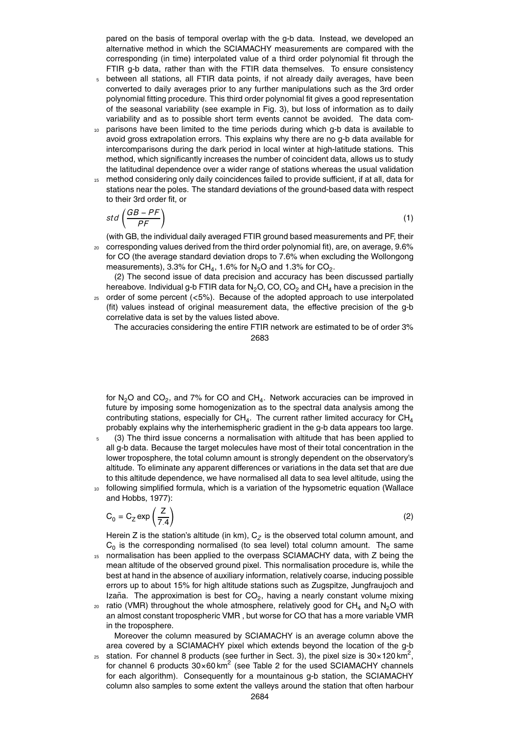pared on the basis of temporal overlap with the g-b data. Instead, we developed an alternative method in which the SCIAMACHY measurements are compared with the corresponding (in time) interpolated value of a third order polynomial fit through the FTIR g-b data, rather than with the FTIR data themselves. To ensure consistency

- <sup>5</sup> between all stations, all FTIR data points, if not already daily averages, have been converted to daily averages prior to any further manipulations such as the 3rd order polynomial fitting procedure. This third order polynomial fit gives a good representation of the seasonal variability (see example in Fig. 3), but loss of information as to daily variability and as to possible short term events cannot be avoided. The data com-
- parisons have been limited to the time periods during which g-b data is available to avoid gross extrapolation errors. This explains why there are no g-b data available for intercomparisons during the dark period in local winter at high-latitude stations. This method, which significantly increases the number of coincident data, allows us to study the latitudinal dependence over a wider range of stations whereas the usual validation
- <sup>15</sup> method considering only daily coincidences failed to provide sufficient, if at all, data for stations near the poles. The standard deviations of the ground-based data with respect to their 3rd order fit, or

$$
std\left(\frac{GB - PF}{PF}\right) \tag{1}
$$

(with GB, the individual daily averaged FTIR ground based measurements and PF, their <sup>20</sup> corresponding values derived from the third order polynomial fit), are, on average, 9.6% for CO (the average standard deviation drops to 7.6% when excluding the Wollongong measurements), 3.3% for CH<sub>4</sub>, 1.6% for N<sub>2</sub>O and 1.3% for CO<sub>2</sub>.

(2) The second issue of data precision and accuracy has been discussed partially hereabove. Individual g-b FTIR data for  $N_2O$ , CO,  $CO_2$  and CH<sub>4</sub> have a precision in the <sup>25</sup> order of some percent (*<*5%). Because of the adopted approach to use interpolated

(fit) values instead of original measurement data, the effective precision of the g-b correlative data is set by the values listed above.

The accuracies considering the entire FTIR network are estimated to be of order 3% 2683

for N<sub>2</sub>O and CO<sub>2</sub>, and 7% for CO and CH<sub>4</sub>. Network accuracies can be improved in future by imposing some homogenization as to the spectral data analysis among the contributing stations, especially for CH<sub>4</sub>. The current rather limited accuracy for CH<sub>4</sub> probably explains why the interhemispheric gradient in the g-b data appears too large.

- <sup>5</sup> (3) The third issue concerns a normalisation with altitude that has been applied to all g-b data. Because the target molecules have most of their total concentration in the lower troposphere, the total column amount is strongly dependent on the observatory's altitude. To eliminate any apparent differences or variations in the data set that are due to this altitude dependence, we have normalised all data to sea level altitude, using the <sup>10</sup> following simplified formula, which is a variation of the hypsometric equation (Wallace
	- and Hobbs, 1977):

$$
C_0 = C_Z \exp\left(\frac{Z}{7.4}\right)
$$

(2)

Herein Z is the station's altitude (in km),  ${\sf C}_Z$  is the observed total column amount, and  $C_0$  is the corresponding normalised (to sea level) total column amount. The same <sup>15</sup> normalisation has been applied to the overpass SCIAMACHY data, with Z being the mean altitude of the observed ground pixel. This normalisation procedure is, while the best at hand in the absence of auxiliary information, relatively coarse, inducing possible errors up to about 15% for high altitude stations such as Zugspitze, Jungfraujoch and Izaña. The approximation is best for  $CO_2$ , having a nearly constant volume mixing

 $20$  ratio (VMR) throughout the whole atmosphere, relatively good for CH<sub>4</sub> and N<sub>2</sub>O with an almost constant tropospheric VMR , but worse for CO that has a more variable VMR in the troposphere.

Moreover the column measured by SCIAMACHY is an average column above the area covered by a SCIAMACHY pixel which extends beyond the location of the g-b

25 station. For channel 8 products (see further in Sect. 3), the pixel size is  $30 \times 120$  km<sup>2</sup>, for channel 6 products  $30\times60\,\text{km}^2$  (see Table 2 for the used SCIAMACHY channels for each algorithm). Consequently for a mountainous g-b station, the SCIAMACHY column also samples to some extent the valleys around the station that often harbour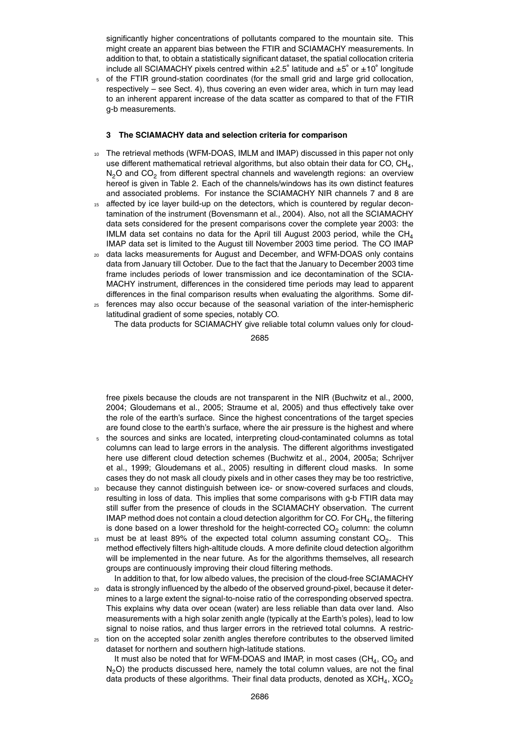significantly higher concentrations of pollutants compared to the mountain site. This might create an apparent bias between the FTIR and SCIAMACHY measurements. In addition to that, to obtain a statistically significant dataset, the spatial collocation criteria include all SCIAMACHY pixels centred within ±2.5◦ latitude and ±5 ◦ or ±10◦ longitude

<sup>5</sup> of the FTIR ground-station coordinates (for the small grid and large grid collocation, respectively – see Sect. 4), thus covering an even wider area, which in turn may lead to an inherent apparent increase of the data scatter as compared to that of the FTIR g-b measurements.

#### **3 The SCIAMACHY data and selection criteria for comparison**

- <sup>10</sup> The retrieval methods (WFM-DOAS, IMLM and IMAP) discussed in this paper not only use different mathematical retrieval algorithms, but also obtain their data for CO, CH<sub>4</sub>,  $N_2$ O and CO<sub>2</sub> from different spectral channels and wavelength regions: an overview hereof is given in Table 2. Each of the channels/windows has its own distinct features and associated problems. For instance the SCIAMACHY NIR channels 7 and 8 are
- 15 affected by ice layer build-up on the detectors, which is countered by regular decontamination of the instrument (Bovensmann et al., 2004). Also, not all the SCIAMACHY data sets considered for the present comparisons cover the complete year 2003: the IMLM data set contains no data for the April till August 2003 period, while the  $CH<sub>4</sub>$ IMAP data set is limited to the August till November 2003 time period. The CO IMAP
- <sup>20</sup> data lacks measurements for August and December, and WFM-DOAS only contains data from January till October. Due to the fact that the January to December 2003 time frame includes periods of lower transmission and ice decontamination of the SCIA-MACHY instrument, differences in the considered time periods may lead to apparent differences in the final comparison results when evaluating the algorithms. Some dif-
- <sup>25</sup> ferences may also occur because of the seasonal variation of the inter-hemispheric latitudinal gradient of some species, notably CO.

The data products for SCIAMACHY give reliable total column values only for cloud-

2685

free pixels because the clouds are not transparent in the NIR (Buchwitz et al., 2000, 2004; Gloudemans et al., 2005; Straume et al, 2005) and thus effectively take over the role of the earth's surface. Since the highest concentrations of the target species are found close to the earth's surface, where the air pressure is the highest and where

- <sup>5</sup> the sources and sinks are located, interpreting cloud-contaminated columns as total columns can lead to large errors in the analysis. The different algorithms investigated here use different cloud detection schemes (Buchwitz et al., 2004, 2005a; Schrijver et al., 1999; Gloudemans et al., 2005) resulting in different cloud masks. In some cases they do not mask all cloudy pixels and in other cases they may be too restrictive,
- <sup>10</sup> because they cannot distinguish between ice- or snow-covered surfaces and clouds, resulting in loss of data. This implies that some comparisons with g-b FTIR data may still suffer from the presence of clouds in the SCIAMACHY observation. The current IMAP method does not contain a cloud detection algorithm for CO. For  $\mathsf{CH}_4$ , the filtering is done based on a lower threshold for the height-corrected  $CO<sub>2</sub>$  column: the column
- $15$  must be at least 89% of the expected total column assuming constant CO<sub>2</sub>. This method effectively filters high-altitude clouds. A more definite cloud detection algorithm will be implemented in the near future. As for the algorithms themselves, all research groups are continuously improving their cloud filtering methods.

In addition to that, for low albedo values, the precision of the cloud-free SCIAMACHY <sup>20</sup> data is strongly influenced by the albedo of the observed ground-pixel, because it determines to a large extent the signal-to-noise ratio of the corresponding observed spectra.

- This explains why data over ocean (water) are less reliable than data over land. Also measurements with a high solar zenith angle (typically at the Earth's poles), lead to low signal to noise ratios, and thus larger errors in the retrieved total columns. A restric-<sup>25</sup> tion on the accepted solar zenith angles therefore contributes to the observed limited
- dataset for northern and southern high-latitude stations.

It must also be noted that for WFM-DOAS and IMAP, in most cases (CH $_4$ , CO $_2$  and  $N<sub>2</sub>O$ ) the products discussed here, namely the total column values, are not the final data products of these algorithms. Their final data products, denoted as  $\mathsf{XCH}_4$ ,  $\mathsf{XCO}_2$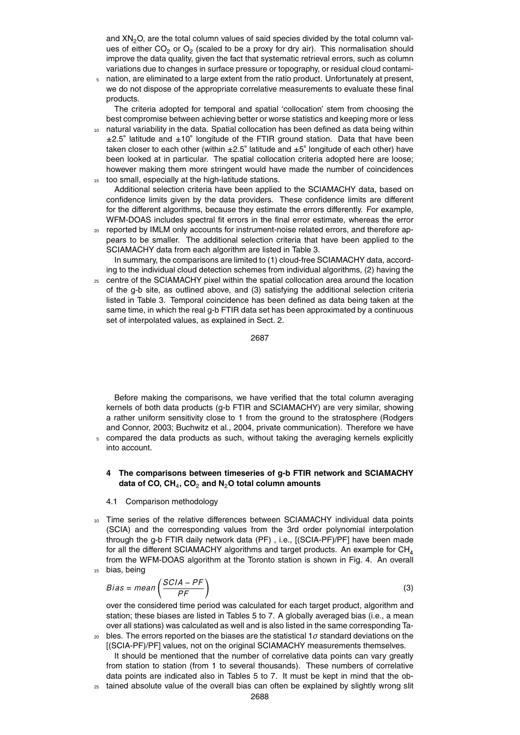and  $XN<sub>2</sub>O$ , are the total column values of said species divided by the total column values of either CO<sub>2</sub> or O<sub>2</sub> (scaled to be a proxy for dry air). This normalisation should improve the data quality, given the fact that systematic retrieval errors, such as column variations due to changes in surface pressure or topography, or residual cloud contami-

<sup>5</sup> nation, are eliminated to a large extent from the ratio product. Unfortunately at present, we do not dispose of the appropriate correlative measurements to evaluate these final products.

The criteria adopted for temporal and spatial 'collocation' stem from choosing the best compromise between achieving better or worse statistics and keeping more or less

- natural variability in the data. Spatial collocation has been defined as data being within ±2.5° latitude and ±10° longitude of the FTIR ground station. Data that have been taken closer to each other (within ±2.5° latitude and ±5° longitude of each other) have been looked at in particular. The spatial collocation criteria adopted here are loose; however making them more stringent would have made the number of coincidences <sup>15</sup> too small, especially at the high-latitude stations.
- Additional selection criteria have been applied to the SCIAMACHY data, based on confidence limits given by the data providers. These confidence limits are different for the different algorithms, because they estimate the errors differently. For example, WFM-DOAS includes spectral fit errors in the final error estimate, whereas the error
- <sup>20</sup> reported by IMLM only accounts for instrument-noise related errors, and therefore appears to be smaller. The additional selection criteria that have been applied to the SCIAMACHY data from each algorithm are listed in Table 3.

In summary, the comparisons are limited to (1) cloud-free SCIAMACHY data, according to the individual cloud detection schemes from individual algorithms, (2) having the

<sup>25</sup> centre of the SCIAMACHY pixel within the spatial collocation area around the location of the g-b site, as outlined above, and (3) satisfying the additional selection criteria listed in Table 3. Temporal coincidence has been defined as data being taken at the same time, in which the real g-b FTIR data set has been approximated by a continuous set of interpolated values, as explained in Sect. 2.

2687

Before making the comparisons, we have verified that the total column averaging kernels of both data products (g-b FTIR and SCIAMACHY) are very similar, showing a rather uniform sensitivity close to 1 from the ground to the stratosphere (Rodgers and Connor, 2003; Buchwitz et al., 2004, private communication). Therefore we have compared the data products as such, without taking the averaging kernels explicitly into account.

### **4 The comparisons between timeseries of g-b FTIR network and SCIAMACHY data of CO, CH**<sup>4</sup> **, CO**<sup>2</sup> **and N**2**O total column amounts**

#### 4.1 Comparison methodology

<sup>10</sup> Time series of the relative differences between SCIAMACHY individual data points (SCIA) and the corresponding values from the 3rd order polynomial interpolation through the g-b FTIR daily network data (PF) , i.e., [(SCIA-PF)/PF] have been made for all the different SCIAMACHY algorithms and target products. An example for  $CH<sub>4</sub>$ from the WFM-DOAS algorithm at the Toronto station is shown in Fig. 4. An overall <sup>15</sup> bias, being

$$
Bias = mean\left(\frac{SCIA - PF}{PF}\right)
$$
 (3)

over the considered time period was calculated for each target product, algorithm and station; these biases are listed in Tables 5 to 7. A globally averaged bias (i.e., a mean over all stations) was calculated as well and is also listed in the same corresponding Ta-

<sup>20</sup> bles. The errors reported on the biases are the statistical 1*σ* standard deviations on the [(SCIA-PF)/PF] values, not on the original SCIAMACHY measurements themselves. It should be mentioned that the number of correlative data points can vary greatly

from station to station (from 1 to several thousands). These numbers of correlative data points are indicated also in Tables 5 to 7. It must be kept in mind that the ob-<sup>25</sup> tained absolute value of the overall bias can often be explained by slightly wrong slit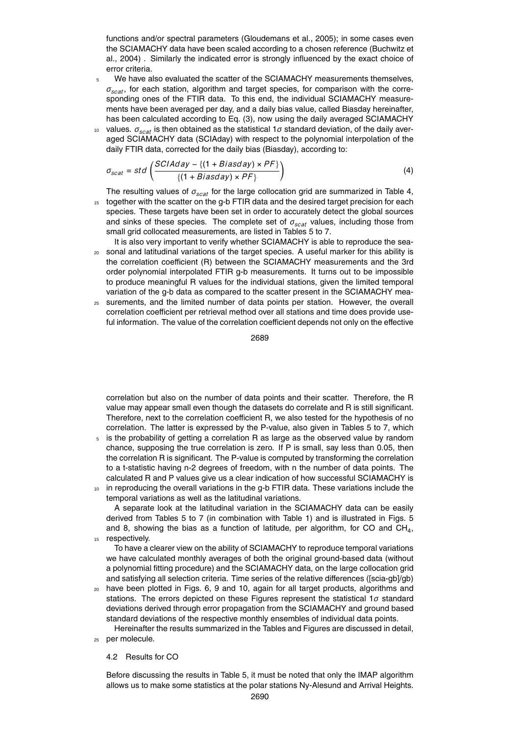functions and/or spectral parameters (Gloudemans et al., 2005); in some cases even the SCIAMACHY data have been scaled according to a chosen reference (Buchwitz et al., 2004) . Similarly the indicated error is strongly influenced by the exact choice of error criteria.

- <sup>5</sup> We have also evaluated the scatter of the SCIAMACHY measurements themselves, *σscat*, for each station, algorithm and target species, for comparison with the corresponding ones of the FTIR data. To this end, the individual SCIAMACHY measurements have been averaged per day, and a daily bias value, called Biasday hereinafter, has been calculated according to Eq. (3), now using the daily averaged SCIAMACHY
- <sup>10</sup> values.  $\sigma_{scat}$  is then obtained as the statistical 1*σ* standard deviation, of the daily averaged SCIAMACHY data (SCIAday) with respect to the polynomial interpolation of the daily FTIR data, corrected for the daily bias (Biasday), according to:

$$
\sigma_{scat} = std \left( \frac{SCIAday - \{(1 + Biasday) \times PF\}}{\{(1 + Biasday) \times PF\}} \right)
$$
\n(4)

The resulting values of *σscat* for the large collocation grid are summarized in Table 4, 15 together with the scatter on the g-b FTIR data and the desired target precision for each species. These targets have been set in order to accurately detect the global sources and sinks of these species. The complete set of *σscat* values, including those from small grid collocated measurements, are listed in Tables 5 to 7.

- It is also very important to verify whether SCIAMACHY is able to reproduce the sea-<sup>20</sup> sonal and latitudinal variations of the target species. A useful marker for this ability is the correlation coefficient (R) between the SCIAMACHY measurements and the 3rd order polynomial interpolated FTIR g-b measurements. It turns out to be impossible to produce meaningful R values for the individual stations, given the limited temporal variation of the g-b data as compared to the scatter present in the SCIAMACHY mea-
- <sup>25</sup> surements, and the limited number of data points per station. However, the overall correlation coefficient per retrieval method over all stations and time does provide useful information. The value of the correlation coefficient depends not only on the effective

2689

correlation but also on the number of data points and their scatter. Therefore, the R value may appear small even though the datasets do correlate and R is still significant. Therefore, next to the correlation coefficient R, we also tested for the hypothesis of no correlation. The latter is expressed by the P-value, also given in Tables 5 to 7, which

- <sup>5</sup> is the probability of getting a correlation R as large as the observed value by random chance, supposing the true correlation is zero. If P is small, say less than 0.05, then the correlation R is significant. The P-value is computed by transforming the correlation to a t-statistic having n-2 degrees of freedom, with n the number of data points. The calculated R and P values give us a clear indication of how successful SCIAMACHY is
- <sup>10</sup> in reproducing the overall variations in the g-b FTIR data. These variations include the temporal variations as well as the latitudinal variations.

A separate look at the latitudinal variation in the SCIAMACHY data can be easily derived from Tables 5 to 7 (in combination with Table 1) and is illustrated in Figs. 5 and 8, showing the bias as a function of latitude, per algorithm, for CO and  $CH_4$ , 15 respectively.

To have a clearer view on the ability of SCIAMACHY to reproduce temporal variations we have calculated monthly averages of both the original ground-based data (without a polynomial fitting procedure) and the SCIAMACHY data, on the large collocation grid and satisfying all selection criteria. Time series of the relative differences ([scia-gb]/gb)

<sup>20</sup> have been plotted in Figs. 6, 9 and 10, again for all target products, algorithms and stations. The errors depicted on these Figures represent the statistical 1*σ* standard deviations derived through error propagation from the SCIAMACHY and ground based standard deviations of the respective monthly ensembles of individual data points.

Hereinafter the results summarized in the Tables and Figures are discussed in detail, <sup>25</sup> per molecule.

4.2 Results for CO

Before discussing the results in Table 5, it must be noted that only the IMAP algorithm allows us to make some statistics at the polar stations Ny-Alesund and Arrival Heights.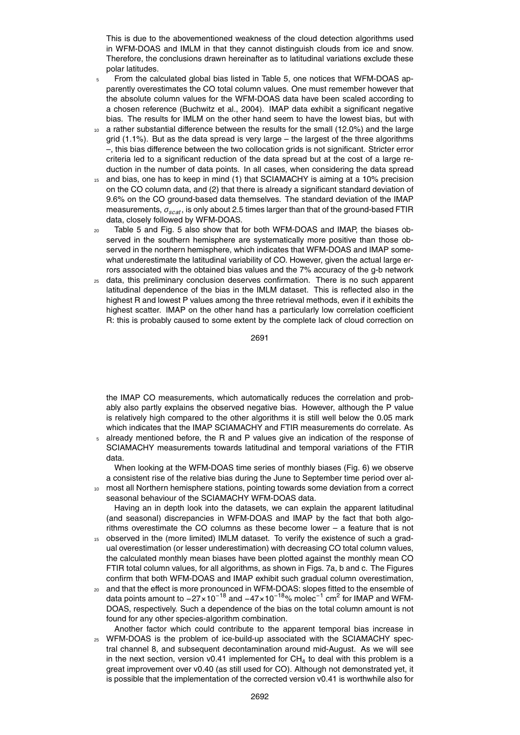This is due to the abovementioned weakness of the cloud detection algorithms used in WFM-DOAS and IMLM in that they cannot distinguish clouds from ice and snow. Therefore, the conclusions drawn hereinafter as to latitudinal variations exclude these polar latitudes.

- <sup>5</sup> From the calculated global bias listed in Table 5, one notices that WFM-DOAS apparently overestimates the CO total column values. One must remember however that the absolute column values for the WFM-DOAS data have been scaled according to a chosen reference (Buchwitz et al., 2004). IMAP data exhibit a significant negative bias. The results for IMLM on the other hand seem to have the lowest bias, but with
- a rather substantial difference between the results for the small (12.0%) and the large grid  $(1.1\%)$ . But as the data spread is very large – the largest of the three algorithms –, this bias difference between the two collocation grids is not significant. Stricter error criteria led to a significant reduction of the data spread but at the cost of a large reduction in the number of data points. In all cases, when considering the data spread
- <sup>15</sup> and bias, one has to keep in mind (1) that SCIAMACHY is aiming at a 10% precision on the CO column data, and (2) that there is already a significant standard deviation of 9.6% on the CO ground-based data themselves. The standard deviation of the IMAP measurements, *σscat*, is only about 2.5 times larger than that of the ground-based FTIR data, closely followed by WFM-DOAS.
- <sup>20</sup> Table 5 and Fig. 5 also show that for both WFM-DOAS and IMAP, the biases observed in the southern hemisphere are systematically more positive than those observed in the northern hemisphere, which indicates that WFM-DOAS and IMAP somewhat underestimate the latitudinal variability of CO. However, given the actual large errors associated with the obtained bias values and the 7% accuracy of the g-b network
- <sup>25</sup> data, this preliminary conclusion deserves confirmation. There is no such apparent latitudinal dependence of the bias in the IMLM dataset. This is reflected also in the highest R and lowest P values among the three retrieval methods, even if it exhibits the highest scatter. IMAP on the other hand has a particularly low correlation coefficient R: this is probably caused to some extent by the complete lack of cloud correction on

2691

the IMAP CO measurements, which automatically reduces the correlation and probably also partly explains the observed negative bias. However, although the P value is relatively high compared to the other algorithms it is still well below the 0.05 mark which indicates that the IMAP SCIAMACHY and FTIR measurements do correlate. As

already mentioned before, the R and P values give an indication of the response of SCIAMACHY measurements towards latitudinal and temporal variations of the FTIR data.

When looking at the WFM-DOAS time series of monthly biases (Fig. 6) we observe a consistent rise of the relative bias during the June to September time period over al-<sup>10</sup> most all Northern hemisphere stations, pointing towards some deviation from a correct

seasonal behaviour of the SCIAMACHY WFM-DOAS data.

Having an in depth look into the datasets, we can explain the apparent latitudinal (and seasonal) discrepancies in WFM-DOAS and IMAP by the fact that both algorithms overestimate the CO columns as these become lower – a feature that is not

- observed in the (more limited) IMLM dataset. To verify the existence of such a gradual overestimation (or lesser underestimation) with decreasing CO total column values, the calculated monthly mean biases have been plotted against the monthly mean CO FTIR total column values, for all algorithms, as shown in Figs. 7a, b and c. The Figures confirm that both WFM-DOAS and IMAP exhibit such gradual column overestimation,
- <sup>20</sup> and that the effect is more pronounced in WFM-DOAS: slopes fitted to the ensemble of data points amount to −27×10<sup>-18</sup> and −47×10<sup>-18</sup>% molec<sup>-1</sup> cm<sup>2</sup> for IMAP and WFM-DOAS, respectively. Such a dependence of the bias on the total column amount is not found for any other species-algorithm combination.
- Another factor which could contribute to the apparent temporal bias increase in <sup>25</sup> WFM-DOAS is the problem of ice-build-up associated with the SCIAMACHY spectral channel 8, and subsequent decontamination around mid-August. As we will see in the next section, version v0.41 implemented for CH<sub>4</sub> to deal with this problem is a great improvement over v0.40 (as still used for CO). Although not demonstrated yet, it is possible that the implementation of the corrected version v0.41 is worthwhile also for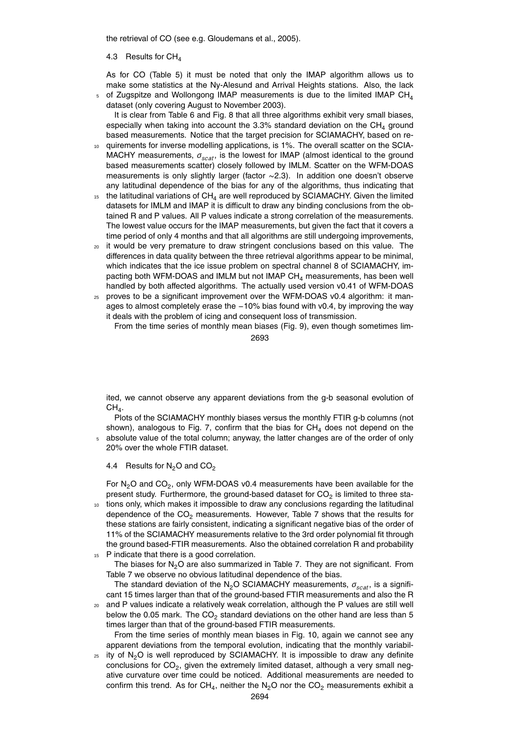the retrieval of CO (see e.g. Gloudemans et al., 2005).

#### 4.3 Results for  $CH<sub>4</sub>$

As for CO (Table 5) it must be noted that only the IMAP algorithm allows us to make some statistics at the Ny-Alesund and Arrival Heights stations. Also, the lack of Zugspitze and Wollongong IMAP measurements is due to the limited IMAP  $CH<sub>4</sub>$ 

5 dataset (only covering August to November 2003).

It is clear from Table 6 and Fig. 8 that all three algorithms exhibit very small biases, especially when taking into account the 3.3% standard deviation on the  $CH<sub>4</sub>$  ground based measurements. Notice that the target precision for SCIAMACHY, based on re-

- 10 quirements for inverse modelling applications, is 1%. The overall scatter on the SCIA-MACHY measurements, *σscat*, is the lowest for IMAP (almost identical to the ground based measurements scatter) closely followed by IMLM. Scatter on the WFM-DOAS measurements is only slightly larger (factor ∼2.3). In addition one doesn't observe any latitudinal dependence of the bias for any of the algorithms, thus indicating that
- $15$  the latitudinal variations of CH<sub>4</sub> are well reproduced by SCIAMACHY. Given the limited datasets for IMLM and IMAP it is difficult to draw any binding conclusions from the obtained R and P values. All P values indicate a strong correlation of the measurements. The lowest value occurs for the IMAP measurements, but given the fact that it covers a time period of only 4 months and that all algorithms are still undergoing improvements,
- <sup>20</sup> it would be very premature to draw stringent conclusions based on this value. The differences in data quality between the three retrieval algorithms appear to be minimal, which indicates that the ice issue problem on spectral channel 8 of SCIAMACHY, impacting both WFM-DOAS and IMLM but not IMAP  $CH<sub>4</sub>$  measurements, has been well handled by both affected algorithms. The actually used version v0.41 of WFM-DOAS
- <sup>25</sup> proves to be a significant improvement over the WFM-DOAS v0.4 algorithm: it manages to almost completely erase the −10% bias found with v0.4, by improving the way it deals with the problem of icing and consequent loss of transmission.

From the time series of monthly mean biases (Fig. 9), even though sometimes lim-2693

ited, we cannot observe any apparent deviations from the g-b seasonal evolution of  $CH_4.$ 

Plots of the SCIAMACHY monthly biases versus the monthly FTIR g-b columns (not shown), analogous to Fig. 7, confirm that the bias for  $CH<sub>4</sub>$  does not depend on the

absolute value of the total column; anyway, the latter changes are of the order of only 20% over the whole FTIR dataset.

4.4 Results for  $N_2O$  and  $CO_2$ 

For  $N_2$ O and CO<sub>2</sub>, only WFM-DOAS v0.4 measurements have been available for the present study. Furthermore, the ground-based dataset for CO<sub>2</sub> is limited to three sta-<sup>10</sup> tions only, which makes it impossible to draw any conclusions regarding the latitudinal

dependence of the  $CO<sub>2</sub>$  measurements. However, Table 7 shows that the results for these stations are fairly consistent, indicating a significant negative bias of the order of 11% of the SCIAMACHY measurements relative to the 3rd order polynomial fit through the ground based-FTIR measurements. Also the obtained correlation R and probability 15 P indicate that there is a good correlation.

The biases for  $N<sub>2</sub>O$  are also summarized in Table 7. They are not significant. From Table 7 we observe no obvious latitudinal dependence of the bias.

The standard deviation of the N2O SCIAMACHY measurements, *σscat*, is a significant 15 times larger than that of the ground-based FTIR measurements and also the R

<sup>20</sup> and P values indicate a relatively weak correlation, although the P values are still well below the 0.05 mark. The  $CO<sub>2</sub>$  standard deviations on the other hand are less than 5 times larger than that of the ground-based FTIR measurements.

From the time series of monthly mean biases in Fig. 10, again we cannot see any apparent deviations from the temporal evolution, indicating that the monthly variabil- $25$  ity of N<sub>2</sub>O is well reproduced by SCIAMACHY. It is impossible to draw any definite conclusions for  $CO_2$ , given the extremely limited dataset, although a very small neg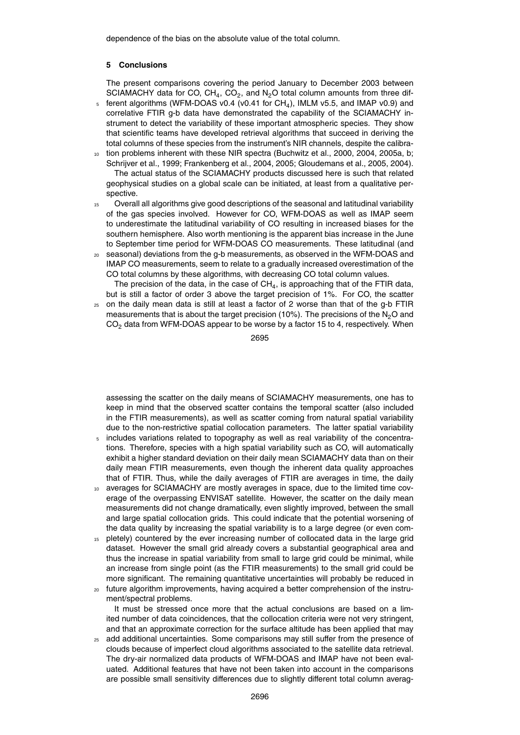dependence of the bias on the absolute value of the total column.

#### **5 Conclusions**

The present comparisons covering the period January to December 2003 between SCIAMACHY data for CO,  $CH_4$ , CO<sub>2</sub>, and N<sub>2</sub>O total column amounts from three dif-

- $_5$  ferent algorithms (WFM-DOAS v0.4 (v0.41 for CH<sub>4</sub>), IMLM v5.5, and IMAP v0.9) and correlative FTIR g-b data have demonstrated the capability of the SCIAMACHY instrument to detect the variability of these important atmospheric species. They show that scientific teams have developed retrieval algorithms that succeed in deriving the total columns of these species from the instrument's NIR channels, despite the calibra-
- tion problems inherent with these NIR spectra (Buchwitz et al., 2000, 2004, 2005a, b; Schrijver et al., 1999; Frankenberg et al., 2004, 2005; Gloudemans et al., 2005, 2004). The actual status of the SCIAMACHY products discussed here is such that related geophysical studies on a global scale can be initiated, at least from a qualitative perspective.
- <sup>15</sup> Overall all algorithms give good descriptions of the seasonal and latitudinal variability of the gas species involved. However for CO, WFM-DOAS as well as IMAP seem to underestimate the latitudinal variability of CO resulting in increased biases for the southern hemisphere. Also worth mentioning is the apparent bias increase in the June to September time period for WFM-DOAS CO measurements. These latitudinal (and
- <sup>20</sup> seasonal) deviations from the g-b measurements, as observed in the WFM-DOAS and IMAP CO measurements, seem to relate to a gradually increased overestimation of the CO total columns by these algorithms, with decreasing CO total column values.

The precision of the data, in the case of  $\textsf{CH}_4$ , is approaching that of the FTIR data, but is still a factor of order 3 above the target precision of 1%. For CO, the scatter

<sup>25</sup> on the daily mean data is still at least a factor of 2 worse than that of the g-b FTIR measurements that is about the target precision (10%). The precisions of the  $N<sub>2</sub>O$  and  $CO<sub>2</sub>$  data from WFM-DOAS appear to be worse by a factor 15 to 4, respectively. When

2695

assessing the scatter on the daily means of SCIAMACHY measurements, one has to keep in mind that the observed scatter contains the temporal scatter (also included in the FTIR measurements), as well as scatter coming from natural spatial variability due to the non-restrictive spatial collocation parameters. The latter spatial variability

- includes variations related to topography as well as real variability of the concentrations. Therefore, species with a high spatial variability such as CO, will automatically exhibit a higher standard deviation on their daily mean SCIAMACHY data than on their daily mean FTIR measurements, even though the inherent data quality approaches that of FTIR. Thus, while the daily averages of FTIR are averages in time, the daily
- <sup>10</sup> averages for SCIAMACHY are mostly averages in space, due to the limited time coverage of the overpassing ENVISAT satellite. However, the scatter on the daily mean measurements did not change dramatically, even slightly improved, between the small and large spatial collocation grids. This could indicate that the potential worsening of the data quality by increasing the spatial variability is to a large degree (or even com-
- <sup>15</sup> pletely) countered by the ever increasing number of collocated data in the large grid dataset. However the small grid already covers a substantial geographical area and thus the increase in spatial variability from small to large grid could be minimal, while an increase from single point (as the FTIR measurements) to the small grid could be more significant. The remaining quantitative uncertainties will probably be reduced in
- <sup>20</sup> future algorithm improvements, having acquired a better comprehension of the instrument/spectral problems.

It must be stressed once more that the actual conclusions are based on a limited number of data coincidences, that the collocation criteria were not very stringent, and that an approximate correction for the surface altitude has been applied that may

<sup>25</sup> add additional uncertainties. Some comparisons may still suffer from the presence of clouds because of imperfect cloud algorithms associated to the satellite data retrieval. The dry-air normalized data products of WFM-DOAS and IMAP have not been evaluated. Additional features that have not been taken into account in the comparisons are possible small sensitivity differences due to slightly different total column averag-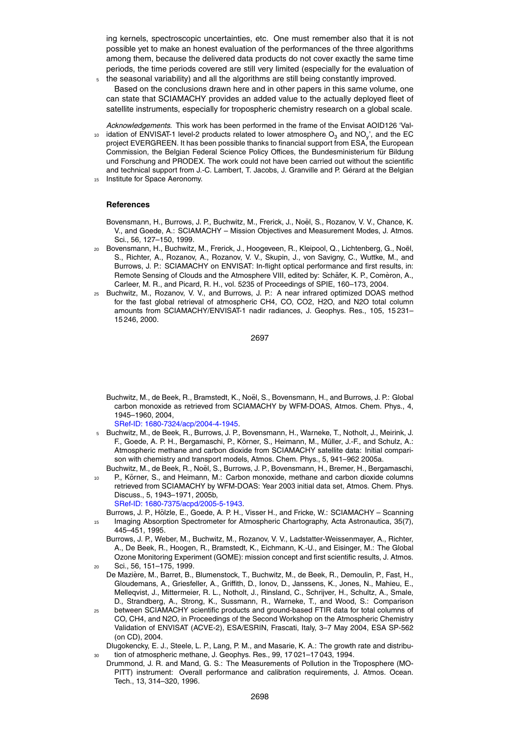ing kernels, spectroscopic uncertainties, etc. One must remember also that it is not possible yet to make an honest evaluation of the performances of the three algorithms among them, because the delivered data products do not cover exactly the same time periods, the time periods covered are still very limited (especially for the evaluation of <sup>5</sup> the seasonal variability) and all the algorithms are still being constantly improved.

- Based on the conclusions drawn here and in other papers in this same volume, one can state that SCIAMACHY provides an added value to the actually deployed fleet of satellite instruments, especially for tropospheric chemistry research on a global scale.
- *Acknowledgements.* This work has been performed in the frame of the Envisat AOID126 'Val- $_{10}$  idation of ENVISAT-1 level-2 products related to lower atmosphere  $\text{O}_3$  and NO<sub>y</sub>', and the EC project EVERGREEN. It has been possible thanks to financial support from ESA, the European Commission, the Belgian Federal Science Policy Offices, the Bundesministerium für Bildung und Forschung and PRODEX. The work could not have been carried out without the scientific and technical support from J.-C. Lambert, T. Jacobs, J. Granville and P. Gérard at the Belgian <sup>15</sup> Institute for Space Aeronomy.

#### **References**

Bovensmann, H., Burrows, J. P., Buchwitz, M., Frerick, J., Noël, S., Rozanov, V. V., Chance, K. V., and Goede, A.: SCIAMACHY – Mission Objectives and Measurement Modes, J. Atmos. Sci., 56, 127–150, 1999.

- <sup>20</sup> Bovensmann, H., Buchwitz, M., Frerick, J., Hoogeveen, R., Kleipool, Q., Lichtenberg, G., Noel, ¨ S., Richter, A., Rozanov, A., Rozanov, V. V., Skupin, J., von Savigny, C., Wuttke, M., and Burrows, J. P.: SCIAMACHY on ENVISAT: In-flight optical performance and first results, in: Remote Sensing of Clouds and the Atmosphere VIII, edited by: Schäfer, K. P., Comèron, A., Carleer, M. R., and Picard, R. H., vol. 5235 of Proceedings of SPIE, 160–173, 2004.
- <sup>25</sup> Buchwitz, M., Rozanov, V. V., and Burrows, J. P.: A near infrared optimized DOAS method for the fast global retrieval of atmospheric CH4, CO, CO2, H2O, and N2O total column amounts from SCIAMACHY/ENVISAT-1 nadir radiances, J. Geophys. Res., 105, 15 231– 15 246, 2000.

2697

Buchwitz, M., de Beek, R., Bramstedt, K., Noël, S., Bovensmann, H., and Burrows, J. P.: Global carbon monoxide as retrieved from SCIAMACHY by WFM-DOAS, Atmos. Chem. Phys., 4, 1945–1960, 2004,

SRef-ID: 1680-7324/acp/2004-4-1945.

- <sup>5</sup> Buchwitz, M., de Beek, R., Burrows, J. P., Bovensmann, H., Warneke, T., Notholt, J., Meirink, J. F., Goede, A. P. H., Bergamaschi, P., Körner, S., Heimann, M., Müller, J.-F., and Schulz, A.: Atmospheric methane and carbon dioxide from SCIAMACHY satellite data: Initial comparison with chemistry and transport models, Atmos. Chem. Phys., 5, 941–962 2005a.
- Buchwitz, M., de Beek, R., Noël, S., Burrows, J. P., Bovensmann, H., Bremer, H., Bergamaschi, P., Körner, S., and Heimann, M.: Carbon monoxide, methane and carbon dioxide columns retrieved from SCIAMACHY by WFM-DOAS: Year 2003 initial data set, Atmos. Chem. Phys. Discuss., 5, 1943–1971, 2005b,

SRef-ID: 1680-7375/acpd/2005-5-1943.

Burrows, J. P., Hölzle, E., Goede, A. P. H., Visser H., and Fricke, W.: SCIAMACHY – Scanning <sup>15</sup> Imaging Absorption Spectrometer for Atmospheric Chartography, Acta Astronautica, 35(7), 445–451, 1995.

Burrows, J. P., Weber, M., Buchwitz, M., Rozanov, V. V., Ladstatter-Weissenmayer, A., Richter, A., De Beek, R., Hoogen, R., Bramstedt, K., Eichmann, K.-U., and Eisinger, M.: The Global Ozone Monitoring Experiment (GOME): mission concept and first scientific results, J. Atmos. <sup>20</sup> Sci., 56, 151–175, 1999.

- De Mazière, M., Barret, B., Blumenstock, T., Buchwitz, M., de Beek, R., Demoulin, P., Fast, H., Gloudemans, A., Griesfeller, A., Griffith, D., Ionov, D., Janssens, K., Jones, N., Mahieu, E., Melleqvist, J., Mittermeier, R. L., Notholt, J., Rinsland, C., Schrijver, H., Schultz, A., Smale, D., Strandberg, A., Strong, K., Sussmann, R., Warneke, T., and Wood, S.: Comparison
- <sup>25</sup> between SCIAMACHY scientific products and ground-based FTIR data for total columns of CO, CH4, and N2O, in Proceedings of the Second Workshop on the Atmospheric Chemistry Validation of ENVISAT (ACVE-2), ESA/ESRIN, Frascati, Italy, 3–7 May 2004, ESA SP-562 (on CD), 2004.

Dlugokencky, E. J., Steele, L. P., Lang, P. M., and Masarie, K. A.: The growth rate and distribu-<sup>30</sup> tion of atmospheric methane, J. Geophys. Res., 99, 17 021–17 043, 1994.

Drummond, J. R. and Mand, G. S.: The Measurements of Pollution in the Troposphere (MO-PITT) instrument: Overall performance and calibration requirements, J. Atmos. Ocean. Tech., 13, 314–320, 1996.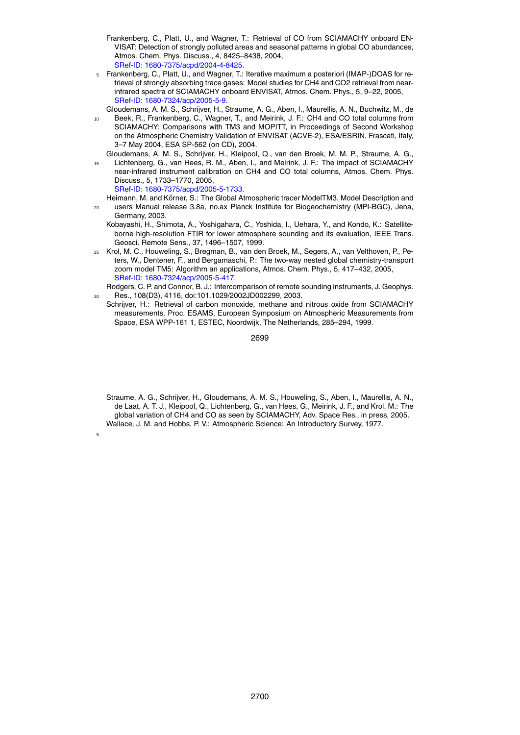- Frankenberg, C., Platt, U., and Wagner, T.: Retrieval of CO from SCIAMACHY onboard EN-VISAT: Detection of strongly polluted areas and seasonal patterns in global CO abundances, Atmos. Chem. Phys. Discuss., 4, 8425–8438, 2004, SRef-ID: 1680-7375/acpd/2004-4-8425.
- <sup>5</sup> Frankenberg, C., Platt, U., and Wagner, T.: Iterative maximum a posteriori (IMAP-)DOAS for retrieval of strongly absorbing trace gases: Model studies for CH4 and CO2 retrieval from nearinfrared spectra of SCIAMACHY onboard ENVISAT, Atmos. Chem. Phys., 5, 9–22, 2005, SRef-ID: 1680-7324/acp/2005-5-9.
- Gloudemans, A. M. S., Schrijver, H., Straume, A. G., Aben, I., Maurellis, A. N., Buchwitz, M., de
- <sup>10</sup> Beek, R., Frankenberg, C., Wagner, T., and Meirink, J. F.: CH4 and CO total columns from SCIAMACHY: Comparisons with TM3 and MOPITT, in Proceedings of Second Workshop on the Atmospheric Chemistry Validation of ENVISAT (ACVE-2), ESA/ESRIN, Frascati, Italy, 3–7 May 2004, ESA SP-562 (on CD), 2004.
- Gloudemans, A. M. S., Schrijver, H., Kleipool, Q., van den Broek, M. M. P., Straume, A. G., <sup>15</sup> Lichtenberg, G., van Hees, R. M., Aben, I., and Meirink, J. F.: The impact of SCIAMACHY near-infrared instrument calibration on CH4 and CO total columns, Atmos. Chem. Phys. Discuss., 5, 1733–1770, 2005, SRef-ID: 1680-7375/acpd/2005-5-1733.
	- Heimann, M. and Körner, S.: The Global Atmospheric tracer ModelTM3. Model Description and
- <sup>20</sup> users Manual release 3.8a, no.ax Planck Institute for Biogeochemistry (MPI-BGC), Jena, Germany, 2003.
	- Kobayashi, H., Shimota, A., Yoshigahara, C., Yoshida, I., Uehara, Y., and Kondo, K.: Satelliteborne high-resolution FTIR for lower atmosphere sounding and its evaluation, IEEE Trans. Geosci. Remote Sens., 37, 1496–1507, 1999.
- <sup>25</sup> Krol, M. C., Houweling, S., Bregman, B., van den Broek, M., Segers, A., van Velthoven, P., Peters, W., Dentener, F., and Bergamaschi, P.: The two-way nested global chemistry-transport zoom model TM5: Algorithm an applications, Atmos. Chem. Phys., 5, 417–432, 2005, SRef-ID: 1680-7324/acp/2005-5-417.
- Rodgers, C. P. and Connor, B. J.: Intercomparison of remote sounding instruments, J. Geophys. <sup>30</sup> Res., 108(D3), 4116, doi:101.1029/2002JD002299, 2003.
- Schrijver, H.: Retrieval of carbon monoxide, methane and nitrous oxide from SCIAMACHY measurements, Proc. ESAMS, European Symposium on Atmospheric Measurements from Space, ESA WPP-161 1, ESTEC, Noordwijk, The Netherlands, 285–294, 1999.

2699

Straume, A. G., Schrijver, H., Gloudemans, A. M. S., Houweling, S., Aben, I., Maurellis, A. N., de Laat, A. T. J., Kleipool, Q., Lichtenberg, G., van Hees, G., Meirink, J. F., and Krol, M.: The global variation of CH4 and CO as seen by SCIAMACHY, Adv. Space Res., in press, 2005. Wallace, J. M. and Hobbs, P. V.: Atmospheric Science: An Introductory Survey, 1977.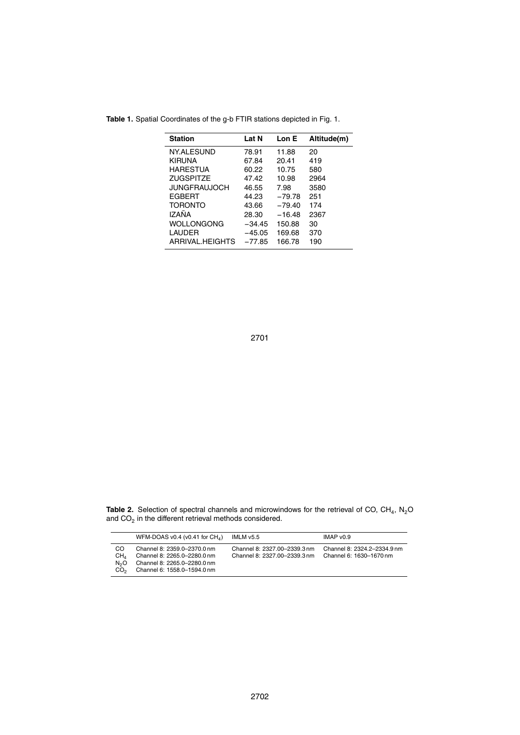| <b>Station</b>      | Lat N    | Lon E    | Altitude(m) |
|---------------------|----------|----------|-------------|
| NY.ALESUND          | 78.91    | 11.88    | 20          |
| KIRUNA              | 67.84    | 20.41    | 419         |
| HARESTUA            | 60.22    | 10.75    | 580         |
| <b>ZUGSPITZE</b>    | 47.42    | 10.98    | 2964        |
| <b>JUNGFRAUJOCH</b> | 46.55    | 7.98     | 3580        |
| <b>FGBFRT</b>       | 44.23    | $-79.78$ | 251         |
| <b>TORONTO</b>      | 43.66    | $-79.40$ | 174         |
| <b>IZANA</b>        | 28.30    | $-16.48$ | 2367        |
| WOLLONGONG          | $-34.45$ | 150.88   | 30          |
| LAUDER              | $-45.05$ | 169.68   | 370         |
| ARRIVAL HEIGHTS     | $-77.85$ | 166.78   | 190         |

**Table 1.** Spatial Coordinates of the g-b FTIR stations depicted in Fig. 1.

**Table 2.** Selection of spectral channels and microwindows for the retrieval of CO, CH<sub>4</sub>, N<sub>2</sub>O and  $CO<sub>2</sub>$  in the different retrieval methods considered.

|                                                              | WFM-DOAS v0.4 (v0.41 for $CH_{4}$ )                                                                                      | IMLM v5.5                                                    | IMAP $v0.9$                                            |
|--------------------------------------------------------------|--------------------------------------------------------------------------------------------------------------------------|--------------------------------------------------------------|--------------------------------------------------------|
| CO<br>CH <sub>4</sub><br>N <sub>2</sub> O<br>CO <sub>2</sub> | Channel 8: 2359.0-2370.0 nm<br>Channel 8: 2265.0-2280.0 nm<br>Channel 8: 2265.0-2280.0 nm<br>Channel 6: 1558.0-1594.0 nm | Channel 8: 2327.00-2339.3 nm<br>Channel 8: 2327.00-2339.3 nm | Channel 8: 2324.2-2334.9 nm<br>Channel 6: 1630-1670 nm |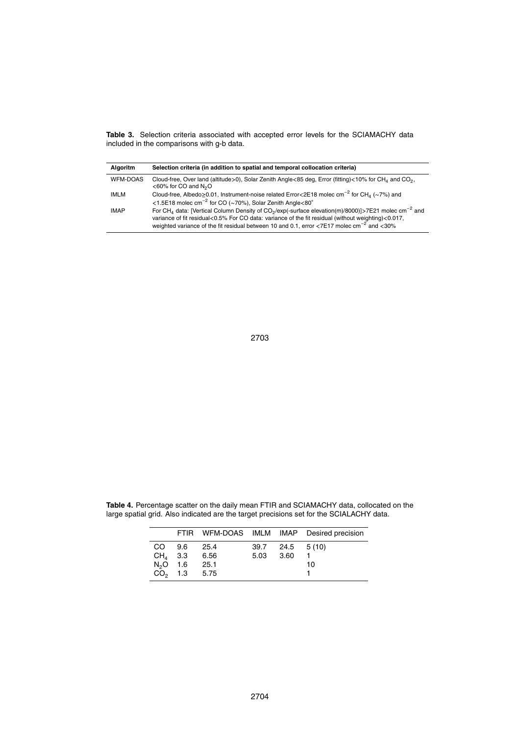**Table 3.** Selection criteria associated with accepted error levels for the SCIAMACHY data included in the comparisons with g-b data.

| <b>Algoritm</b> | Selection criteria (in addition to spatial and temporal collocation criteria)                                                                                                                                                                                                                                                                          |
|-----------------|--------------------------------------------------------------------------------------------------------------------------------------------------------------------------------------------------------------------------------------------------------------------------------------------------------------------------------------------------------|
| <b>WFM-DOAS</b> | Cloud-free, Over land (altitude>0), Solar Zenith Angle<85 deg, Error (fitting)<10% for CH <sub>4</sub> and CO <sub>2</sub> ,<br>$<$ 60% for CO and N <sub>2</sub> O                                                                                                                                                                                    |
| <b>IMLM</b>     | Cloud-free, Albedo  o.01, Instrument-noise related Error < 2E18 molec cm <sup>-2</sup> for CH <sub>4</sub> ( $\sim$ 7%) and<br><1.5E18 molec $\text{cm}^{-2}$ for CO (~70%), Solar Zenith Angle<80°                                                                                                                                                    |
| <b>IMAP</b>     | For CH <sub>4</sub> data: [Vertical Column Density of CO <sub>2</sub> /exp(-surface elevation(m)/8000)]>7E21 molec cm <sup>-2</sup> and<br>variance of fit residual<0.5% For CO data: variance of the fit residual (without weighting)<0.017,<br>weighted variance of the fit residual between 10 and 0.1, error <7E17 molec cm <sup>-2</sup> and <30% |

**Table 4.** Percentage scatter on the daily mean FTIR and SCIAMACHY data, collocated on the large spatial grid. Also indicated are the target precisions set for the SCIALACHY data.

|        |                  |      |           |                   | FTIR WFM-DOAS IMLM IMAP Desired precision |
|--------|------------------|------|-----------|-------------------|-------------------------------------------|
| CO 9.6 |                  | 25.4 |           | $39.7$ 24.5 5(10) |                                           |
|        | $CH4$ 3.3 6.56   |      | 5.03 3.60 |                   |                                           |
|        | $N_2$ O 1.6 25.1 |      |           |                   | 10                                        |
|        | $CO2$ 1.3 5.75   |      |           |                   |                                           |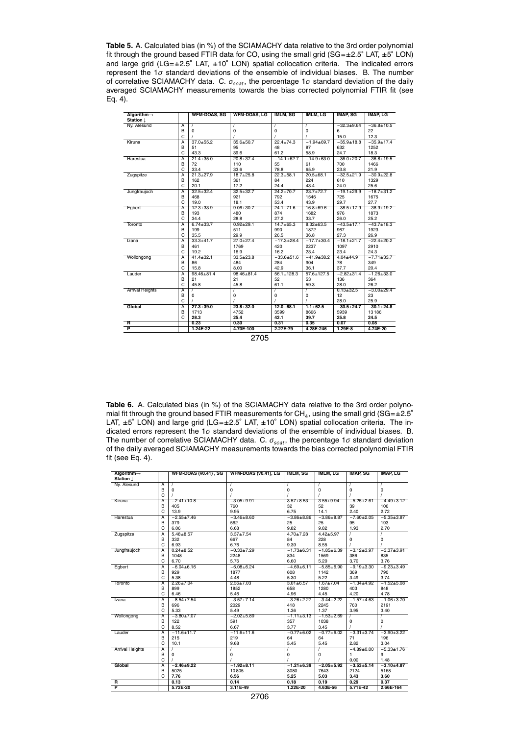**Table 5.** A. Calculated bias (in %) of the SCIAMACHY data relative to the 3rd order polynomial fit through the ground based FTIR data for CO, using the small grid (SG=±2.5° LAT, ±5° LON) and large grid (LG=±2.5◦ LAT, ±10◦ LON) spatial collocation criteria. The indicated errors represent the 1*σ* standard deviations of the ensemble of individual biases. B. The number of correlative SCIAMACHY data. C. *σscat*, the percentage 1*σ* standard deviation of the daily averaged SCIAMACHY measurements towards the bias corrected polynomial FTIR fit (see Eq. 4).

| Algorithm $\rightarrow$ |                         | <b>WFM-DOAS, SG</b> | <b>WFM-DOAS, LG</b> | <b>IMLM, SG</b>  | <b>IMLM, LG</b>  | <b>IMAP, SG</b>  | <b>IMAP, LG</b>  |
|-------------------------|-------------------------|---------------------|---------------------|------------------|------------------|------------------|------------------|
| Station 1               |                         |                     |                     |                  |                  |                  |                  |
| Ny. Alesund             | $\overline{A}$          | $\prime$            | 7                   |                  | 7                | $-32.3 + 9.64$   | $-36.8 \pm 10.5$ |
|                         | B                       | $\mathbf 0$         | $\mathbf 0$         | $\mathbf 0$      | 0                | 6                | 22               |
|                         | C                       |                     |                     |                  |                  | 15.0             | 12.3             |
| Kiruna                  | $\overline{A}$          | $37.0 + 55.2$       | $35.6 \pm 50.7$     | $22.4 \pm 74.3$  | $-1.94 + 69.7$   | $-35.9 + 18.8$   | $-35.9 \pm 17.4$ |
|                         | B                       | 51                  | 95                  | 48               | 87               | 632              | 1252             |
|                         | C                       | 43.3                | 39.6                | 61.2             | 58.9             | 24.7             | 18.3             |
| Harestua                | $\overline{A}$          | $21.4 \pm 35.0$     | $20.8 \pm 37.4$     | $-14.1 + 62.7$   | $-14.9 + 63.0$   | $-36.0 + 20.7$   | $-36.8 + 19.5$   |
|                         | B                       | 72                  | 110                 | 55               | 61               | 700              | 1466             |
|                         | C                       | 33.4                | 33.6                | 78.8             | 65.9             | 23.8             | 21.9             |
| Zugspitze               | $\overline{\mathsf{A}}$ | $21.3 + 27.9$       | $18.7 \pm 25.8$     | $22.3 + 58.1$    | $20.5 + 68.1$    | $-32.5+21.9$     | $-30.9 \pm 22.8$ |
|                         | B                       | 162                 | 361                 | 84               | 224              | 610              | 1329             |
|                         | C                       | 20.1                | 17.2                | 24.4             | 43.4             | 24.0             | 25.6             |
| Jungfraujoch            | A                       | $32.5 \pm 32.4$     | $32.5 \pm 32.7$     | $24.2 \pm 70.7$  | $23.7 + 72.7$    | $-19.1 + 29.9$   | $-18.7 + 31.2$   |
|                         | B                       | 468                 | 921                 | 792              | 1546             | 725              | 1675             |
|                         | C                       | 19.0                | 18.1                | 53.4             | 43.9             | 29.7             | 27.7             |
| Egbert                  | A                       | $12.3 + 33.9$       | $9.06 \pm 30.7$     | $24.1 \pm 71.6$  | $16.8 + 69.6$    | $-38.5 \pm 17.9$ | $-38.9 \pm 19.2$ |
|                         | B                       | 193                 | 480                 | 874              | 1682             | 976              | 1873             |
|                         | C                       | 34.4                | 28.8                | 27.2             | 33.7             | 26.0             | 25.2             |
| Toronto                 | $\overline{A}$          | $6.74 \pm 33.7$     | $0.92 + 29.1$       | $14.7 + 65.3$    | $8.32 + 63.5$    | $-43.5 \pm 17.1$ | $-43.7 \pm 18.3$ |
|                         | B                       | 199                 | 511                 | 990              | 1872             | 967              | 1923             |
|                         | C                       | 35.5                | 29.9                | 26.5             | 36.8             | 27.3             | 26.9             |
| Izana                   | $\overline{\mathsf{A}}$ | $33.3 + 41.7$       | $27.0 \pm 27.4$     | $-17.3 \pm 28.4$ | $-17.7 + 30.4$   | $-18.1 \pm 21.7$ | $-22.4 \pm 20.2$ |
|                         | B                       | 461                 | 1769                | 420              | 2237             | 1097             | 2910             |
|                         | C                       | 19.2                | 16.9                | 16.2             | 23.4             | 23.4             | 24.3             |
| Wollongong              | A                       | $41.4 \pm 32.1$     | $33.5 \pm 23.8$     | $-33.6 + 51.6$   | $-41.9+38.2$     | $4.04 \pm 44.9$  | $-7.71 \pm 33.7$ |
|                         | B                       | 86                  | 484                 | 284              | 904              | 78               | 349              |
|                         | C                       | 15.8                | 8.00                | 42.9             | 36.1             | 37.7             | 20.4             |
| Lauder                  | $\overline{A}$          | 98.46±81.4          | 98.46±81.4          | $56.1 \pm 128.3$ | $57.6 \pm 127.5$ | $-2.82 + 31.4$   | $-1.26 + 33.0$   |
|                         | B                       | 21                  | 21                  | 52               | 53               | 136              | 364              |
|                         | C                       | 45.8                | 45.8                | 61.1             | 59.3             | 28.0             | 26.2             |
| <b>Arrival Heights</b>  | $\overline{A}$          |                     | 7                   |                  |                  | $0.13 + 32.5$    | $-3.00 + 29.4$   |
|                         | B                       | $\mathbf 0$         | 0                   | 0                | 0                | 12               | 23               |
|                         | C                       |                     |                     |                  |                  | 28.0             | 25.9             |
| Global                  | $\overline{A}$          | $27.3 + 39.0$       | $23.8 + 32.0$       | $12.0 + 68.1$    | $1.1 \pm 62.5$   | $-30.5 + 24.7$   | $-30.1 + 24.8$   |
|                         | B                       | 1713                | 4752                | 3599             | 8666             | 5939             | 13186            |
|                         | C                       | 28.3                | 25.4                | 42.1             | 39.7             | 25.8             | 24.5             |
| R                       |                         | 0.23                | 0.30                | 0.31             | 0.35             | 0.07             | 0.08             |
| $\overline{\mathsf{P}}$ |                         | 1.24E-22            | 4.70E-100           | 2.27E-79         | 4.28E-246        | $1.29E-8$        | 4.74E-20         |
|                         |                         |                     |                     |                  |                  |                  |                  |

Table 6. A. Calculated bias (in %) of the SCIAMACHY data relative to the 3rd order polynomial fit through the ground based FTIR measurements for CH<sub>4</sub>, using the small grid (SG= $\pm 2.5^{\circ}$ LAT,  $\pm 5^{\circ}$  LON) and large grid (LG= $\pm 2.5^{\circ}$  LAT,  $\pm 10^{\circ}$  LON) spatial collocation criteria. The indicated errors represent the 1*σ* standard deviations of the ensemble of individual biases. B. The number of correlative SCIAMACHY data. C. *σscat*, the percentage 1*σ* standard deviation of the daily averaged SCIAMACHY measurements towards the bias corrected polynomial FTIR fit (see Eq. 4).

| $Algorithm \rightarrow$ |                         | <b>WFM-DOAS (v0.41), SG</b> | <b>WFM-DOAS (v0.41), LG</b> | <b>IMLM, SG</b>         | <b>IMLM, LG</b>  | <b>IMAP, SG</b>  |                  |
|-------------------------|-------------------------|-----------------------------|-----------------------------|-------------------------|------------------|------------------|------------------|
| Station 1               |                         |                             |                             |                         |                  |                  | <b>IMAP, LG</b>  |
| Ny. Alesund             | $\overline{A}$          |                             |                             |                         |                  |                  |                  |
|                         | B                       | $\prime$<br>$\mathbf 0$     | 0                           | $\prime$<br>$\mathbf 0$ | 7<br>0           | 7<br>$\mathbf 0$ | $\mathbf 0$      |
|                         | C                       |                             |                             |                         |                  |                  |                  |
|                         |                         |                             |                             |                         |                  |                  |                  |
| Kiruna                  | $\overline{\mathsf{A}}$ | $-2.41 \pm 10.8$            | $-3.05 + 9.91$              | $3.57 + 8.53$           | $3.55 + 9.94$    | $-5.25 \pm 2.61$ | $-4.49 \pm 3.12$ |
|                         | B                       | 405                         | 760                         | 32                      | 52               | 39               | 106              |
|                         | C                       | 13.9                        | 9.95                        | 6.75                    | 14.1             | 2.40             | 2.72             |
| Harestua                | A                       | $-2.55 \pm 7.46$            | $-3.46 + 8.60$              | $-3.86 + 8.86$          | $-3.86 + 8.87$   | $-7.60 \pm 2.05$ | $-5.35 \pm 3.87$ |
|                         | B                       | 379                         | 562                         | 25                      | 25               | 95               | 193              |
|                         | C                       | 6.06                        | 6.68                        | 9.82                    | 9.82             | 1.93             | 2.70             |
| Zugspitze               | A                       | $5.48 \pm 8.57$             | $3.37 + 7.54$               | $4.70 \pm 7.28$         | $4.42 + 5.97$    |                  |                  |
|                         | B                       | 332                         | 667                         | 84                      | 228              | $\mathbf 0$      | $\mathbf 0$      |
|                         | C                       | 6.93                        | 6.76                        | 9.39                    | 8.55             |                  |                  |
| Jungfraujoch            | $\overline{\mathsf{A}}$ | $0.24 + 8.52$               | $-0.33 + 7.29$              | $-1.73 + 6.31$          | $-1.85 + 6.39$   | $-3.12 + 3.97$   | $-3.37 + 3.91$   |
|                         | B                       | 1048                        | 2248                        | 834                     | 1569             | 386              | 835              |
|                         | C                       | 6.70                        | 5.76                        | 6.60                    | 5.20             | 3.70             | 3.76             |
| Eqbert                  | $\overline{\mathsf{A}}$ | $-6.04\pm 6.16$             | $-6.08 + 6.24$              | $-4.69 + 6.11$          | $-5.85\pm 6.90$  | $-9.19 + 3.30$   | $-9.23 \pm 3.49$ |
|                         | B                       | 929                         | 1877                        | 608                     | 1142             | 369              | 790              |
|                         | C                       | 5.38                        | 4.48                        | 5.30                    | 5.22             | 3.49             | 3.74             |
| Toronto                 | A                       | $2.26 \pm 7.04$             | $2.36 \pm 7.03$             | $3.01 \pm 6.57$         | $1.67 + 7.04$    | $-1.34 + 4.92$   | $-1.52 + 5.08$   |
|                         | B                       | 899                         | 1852                        | 658                     | 1280             | 403              | 848              |
|                         | C                       | 6.46                        | 5.46                        | 4.96                    | 4.45             | 4.20             | 4.78             |
| Izana                   | $\overline{A}$          | $-8.54 \pm 7.54$            | $-3.57 + 7.14$              | $-3.26 \pm 2.27$        | $-3.44 + 2.22$   | $-1.57 + 4.63$   | $-1.06 + 3.70$   |
|                         | B                       | 696                         | 2029                        | 418                     | 2245             | 760              | 2191             |
|                         | C                       | 5.33                        | 5.49                        | 1.36                    | 1.37             | 3.95             | 3.40             |
| Wollongong              | $\overline{\mathsf{A}}$ | $-3.80 + 7.07$              | $-2.02 + 5.89$              | $-1.11 \pm 3.13$        | $-1.53 \pm 2.69$ |                  |                  |
|                         | B                       | 122                         | 591                         | 357                     | 1038             | $\mathbf 0$      | 0                |
|                         | C                       | 8.52                        | 6.67                        | 3.77                    | 3.45             |                  |                  |
| Lauder                  | $\overline{\mathsf{A}}$ | $-11.6 + 11.7$              | $-11.6 + 11.6$              | $-0.77 + 6.02$          | $-0.77 + 6.02$   | $-3.31 \pm 3.74$ | $-3.90 + 3.22$   |
|                         | B                       | 215                         | 219                         | 64                      | 64               | 71               | 196              |
|                         | C                       | 10.1                        | 9.68                        | 5.45                    | 5.45             | 2.82             | 3.04             |
| <b>Arrival Heights</b>  | $\overline{A}$          |                             |                             |                         |                  | $-4.89 + 0.00$   | $-5.33 + 1.76$   |
|                         | B                       | $\Omega$                    | 0                           | $\mathbf 0$             | 0                | $\blacksquare$   | 9                |
|                         | C                       |                             |                             |                         |                  | 0.00             | 1.48             |
| Global                  | $\overline{\mathsf{A}}$ | $-2.46 + 9.22$              | $-1.92 + 8.11$              | $-1.21 + 6.39$          | $-2.05 + 5.92$   | $-3.53 + 5.14$   | $-3.10 + 4.87$   |
|                         | B                       | 5025                        | 10805                       | 3080                    | 7643             | 2124             | 5168             |
|                         | C                       | 7.76                        | 6.56                        | 5.25                    | 5.03             | 3.43             | 3.60             |
| $\overline{\mathsf{R}}$ |                         | 0.13                        | 0.14                        | 0.18                    | 0.19             | 0.29             | 0.37             |
| P                       |                         | 5.72E-20                    | 3.11E-49                    | 1.22E-20                | 4.63E-56         | 5.71E-42         | 2.66E-164        |
|                         |                         |                             |                             |                         |                  |                  |                  |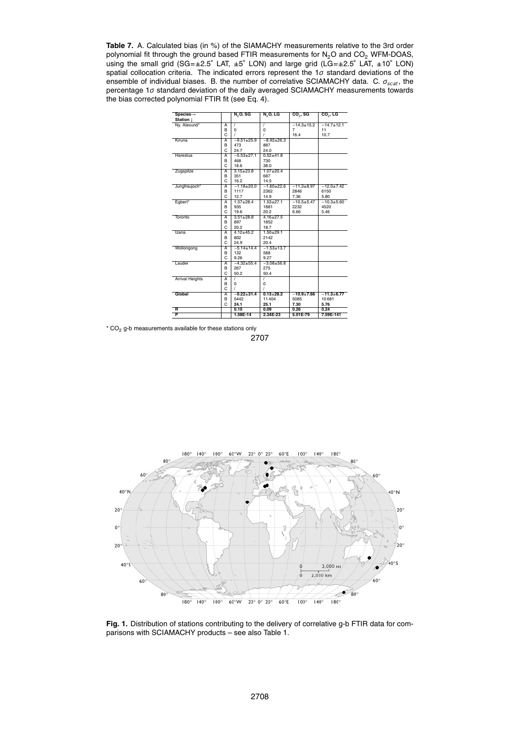**Table 7.** A. Calculated bias (in %) of the SIAMACHY measurements relative to the 3rd order polynomial fit through the ground based FTIR measurements for  $N_2O$  and  $CO_2$  WFM-DOAS, using the small grid (SG=±2.5◦ LAT, ±5 ◦ LON) and large grid (LG=±2.5◦ LAT, ±10◦ LON) spatial collocation criteria. The indicated errors represent the 1*σ* standard deviations of the ensemble of individual biases. B. the number of correlative SCIAMACHY data. C. *σscat*, the percentage 1*σ* standard deviation of the daily averaged SCIAMACHY measurements towards the bias corrected polynomial FTIR fit (see Eq. 4).

| $Species-$             |                | N <sub>2</sub> O, SG | $N2$ O, LG      | $CO2$ , SG       | $CO2$ , LG       |
|------------------------|----------------|----------------------|-----------------|------------------|------------------|
| Station 1              |                |                      |                 |                  |                  |
| Ny. Alesund*           | $\overline{A}$ | 7                    | 7               | $-14.3 \pm 15.2$ | $-14.7 \pm 12.1$ |
|                        | B              | 0                    | 0               | 7                | 11               |
|                        | C              | 1                    | 7               | 16.4             | 10.7             |
| Kiruna                 | $\overline{A}$ | $-9.51 + 25.9$       | $-8.92 + 26.3$  |                  |                  |
|                        | B              | 473                  | 887             |                  |                  |
|                        | C              | 24.7                 | 24.0            |                  |                  |
| Harestua               | $\overline{A}$ | $-5.53+27.1$         | $0.52 + 41.8$   |                  |                  |
|                        | B              | 468                  | 730             |                  |                  |
|                        | C              | 18.6                 | 38.0            |                  |                  |
| Zugspitze              | $\overline{A}$ | $3.15 \pm 23.8$      | $1.07 + 20.4$   |                  |                  |
|                        | B              | 351                  | 687             |                  |                  |
|                        | C              | 16.2                 | 14.5            |                  |                  |
| Jungfraujoch*          | $\overline{A}$ | $-1.18 + 20.0$       | $-1.60 + 22.6$  | $-11.3 + 8.97$   | $-12.0 \pm 7.42$ |
|                        | B              | 1117                 | 2362            | 2846             | 6150             |
|                        | C              | 12.7                 | 14.9            | 7.36             | 5.80             |
| Egbert*                | $\overline{A}$ | $1.57 + 28.4$        | $1.53 + 27.1$   | $-10.5 + 5.47$   | $-10.3 + 5.60$   |
|                        | B              | 935                  | 1881            | 2232             | 4520             |
|                        | C              | 19.6                 | 20.2            | 6.66             | 5.46             |
| Toronto                | $\overline{A}$ | $3.51 \pm 28.8$      | $4.16 \pm 27.5$ |                  |                  |
|                        | B              | 897                  | 1852            |                  |                  |
|                        | C              |                      |                 |                  |                  |
|                        |                | 20.2                 | 18.7            |                  |                  |
| Izana                  | $\overline{A}$ | $4.12 + 45.2$        | $1.50 + 29.1$   |                  |                  |
|                        | B              | 802                  | 2142            |                  |                  |
|                        | C              | 24.9                 | 20.4            |                  |                  |
| Wollongong             | $\overline{A}$ | $-5.14 \pm 14.4$     | $-1.53 + 13.7$  |                  |                  |
|                        | B              | 132                  | 588             |                  |                  |
|                        | C              | 9.26                 | 9.27            |                  |                  |
| Lauder                 | $\overline{A}$ | $-4.32 + 55.4$       | $-3.08 + 56.8$  |                  |                  |
|                        | B              | 267                  | 275             |                  |                  |
|                        | C              | 50.2                 | 50.4            |                  |                  |
| <b>Arrival Heights</b> | $\overline{A}$ | 1                    | 1               |                  |                  |
|                        | B              | $\Omega$             | $\Omega$        |                  |                  |
|                        | C              | 1                    |                 |                  |                  |
| Global                 | A              | $-0.22 + 31.4$       | $0.13 + 28.2$   | $-10.9 + 7.66$   | $-11.3 + 6.77$   |
|                        | B              | 5442                 | 11404           | 5085             | 10681            |
|                        | C              | 24.1                 | 25.1            | 7.30             | 5.76             |
| R                      |                | 0.10                 | 0.09            | 0.26             | 0.24             |
| P                      |                | 1.58E-14             | 2.34E-23        | 5.01E-79         | 7.59E-141        |

 $*$  CO<sub>2</sub> g-b measurements available for these stations only 2707



Fig. 1. Distribution of stations contributing to the delivery of correlative g-b FTIR data for comparisons with SCIAMACHY products – see also Table 1.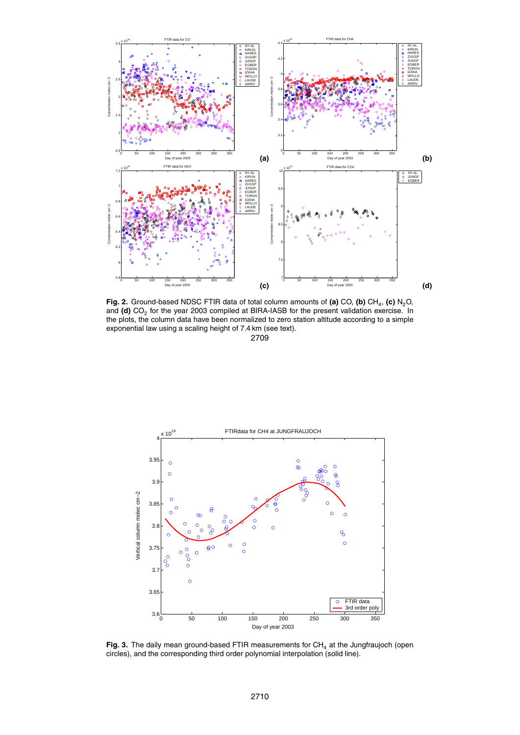

**Fig. 2.** Ground-based NDSC FTIR data of total column amounts of **(a)** CO, **(b)** CH<sup>4</sup> , **(c)** N2O, and **(d)** CO<sub>2</sub> for the year 2003 compiled at BIRA-IASB for the present validation exercise. In the plots, the column data have been normalized to zero station altitude according to a simple exponential law using a scaling height of 7.4 km (see text).



Fig. 3. The daily mean ground-based FTIR measurements for CH<sub>4</sub> at the Jungfraujoch (open circles), and the corresponding third order polynomial interpolation (solid line).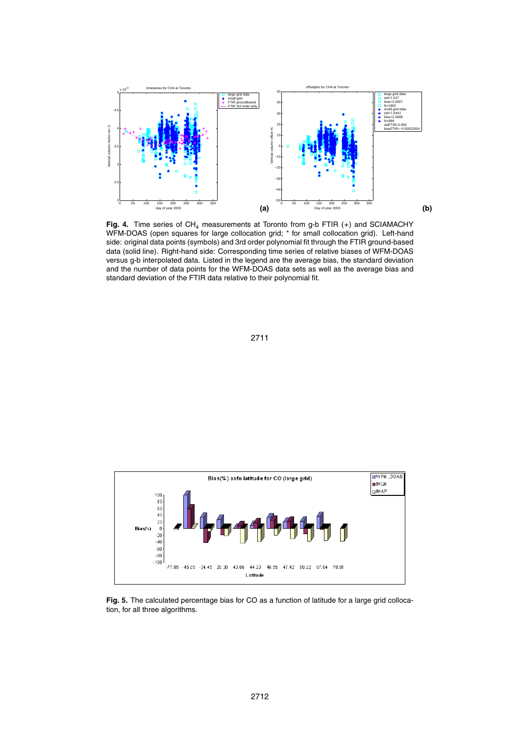

Fig. 4. Time series of CH<sub>4</sub> measurements at Toronto from g-b FTIR (+) and SCIAMACHY WFM-DOAS (open squares for large collocation grid; \* for small collocation grid). Left-hand side: original data points (symbols) and 3rd order polynomial fit through the FTIR ground-based data (solid line). Right-hand side: Corresponding time series of relative biases of WFM-DOAS versus g-b interpolated data. Listed in the legend are the average bias, the standard deviation and the number of data points for the WFM-DOAS data sets as well as the average bias and standard deviation of the FTIR data relative to their polynomial fit.





**Fig. 5.** The calculated percentage bias for CO as a function of latitude for a large grid collocation, for all three algorithms.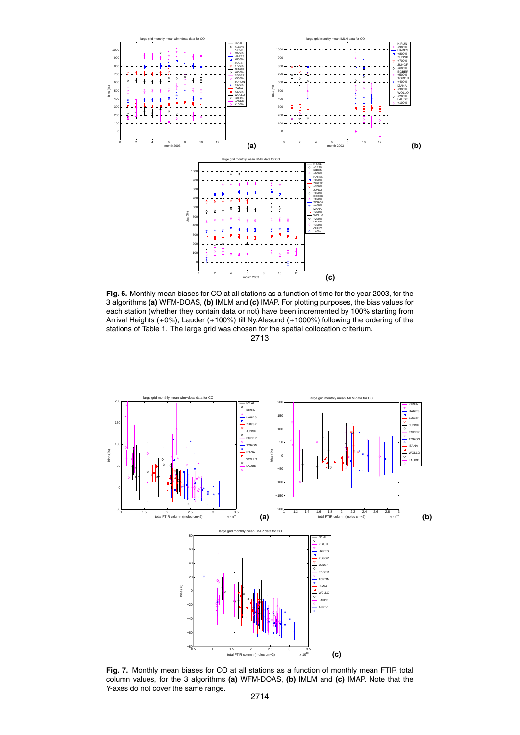

**Fig. 6.** Monthly mean biases for CO at all stations as a function of time for the year 2003, for the 3 algorithms **(a)** WFM-DOAS, **(b)** IMLM and **(c)** IMAP. For plotting purposes, the bias values for each station (whether they contain data or not) have been incremented by 100% starting from Arrival Heights (+0%), Lauder (+100%) till Ny.Alesund (+1000%) following the ordering of the stations of Table 1. The large grid was chosen for the spatial collocation criterium. 2713



**Fig. 7.** Monthly mean biases for CO at all stations as a function of monthly mean FTIR total column values, for the 3 algorithms **(a)** WFM-DOAS, **(b)** IMLM and **(c)** IMAP. Note that the Y-axes do not cover the same range.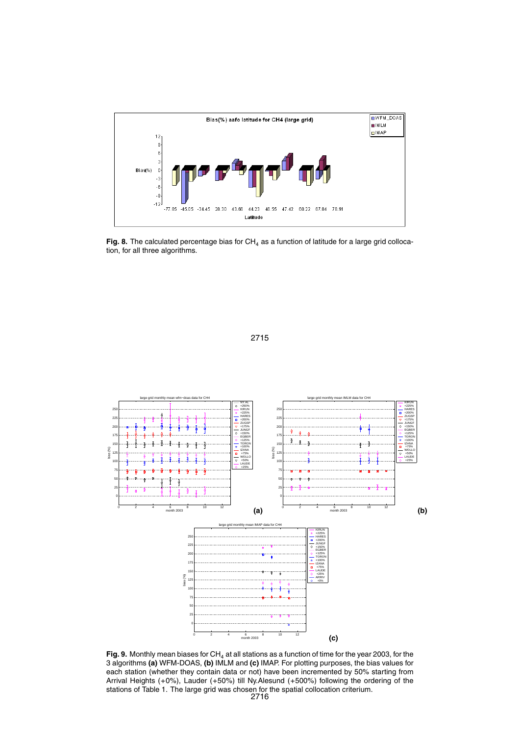

Fig. 8. The calculated percentage bias for  $CH<sub>4</sub>$  as a function of latitude for a large grid collocation, for all three algorithms.



Fig. 9. Monthly mean biases for CH<sub>4</sub> at all stations as a function of time for the year 2003, for the 3 algorithms **(a)** WFM-DOAS, **(b)** IMLM and **(c)** IMAP. For plotting purposes, the bias values for each station (whether they contain data or not) have been incremented by 50% starting from Arrival Heights (+0%), Lauder (+50%) till Ny.Alesund (+500%) following the ordering of the stations of Table 1. The large grid was chosen for the spatial collocation criterium. 2716

2715